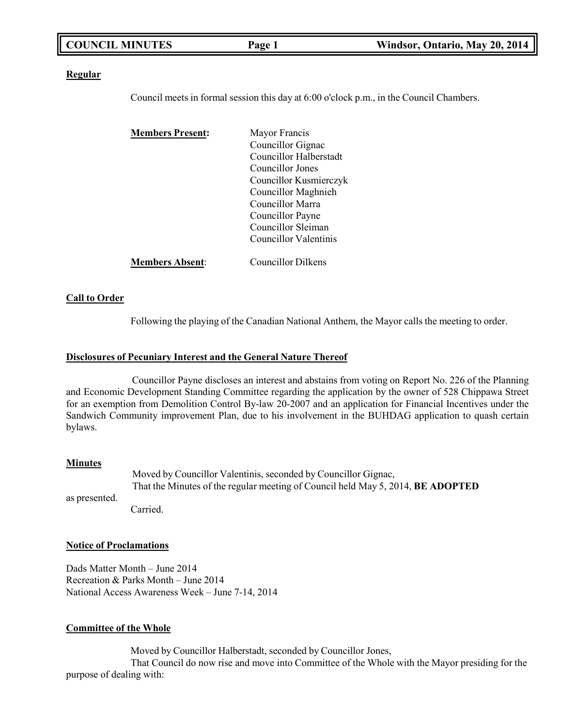| <b>COUNCIL MINUTES</b> | Page 1 | Windsor, Ontario, May 20, 2014 |
|------------------------|--------|--------------------------------|
|                        |        |                                |

### **Regular**

Council meets in formal session this day at 6:00 o'clock p.m., in the Council Chambers.

| <b>Members Present:</b> | Mayor Francis          |  |
|-------------------------|------------------------|--|
|                         | Councillor Gignac      |  |
|                         | Councillor Halberstadt |  |
|                         | Councillor Jones       |  |
|                         | Councillor Kusmierczyk |  |
|                         | Councillor Maghnieh    |  |
|                         | Councillor Marra       |  |
|                         | Councillor Payne       |  |
|                         | Councillor Sleiman     |  |
|                         | Councillor Valentinis  |  |
| <b>Members Absent:</b>  | Councillor Dilkens     |  |

### **Call to Order**

Following the playing of the Canadian National Anthem, the Mayor calls the meeting to order.

### **Disclosures of Pecuniary Interest and the General Nature Thereof**

Councillor Payne discloses an interest and abstains from voting on Report No. 226 of the Planning and Economic Development Standing Committee regarding the application by the owner of 528 Chippawa Street for an exemption from Demolition Control By-law 20-2007 and an application for Financial Incentives under the Sandwich Community improvement Plan, due to his involvement in the BUHDAG application to quash certain bylaws.

### **Minutes**

as presented. Moved by Councillor Valentinis, seconded by Councillor Gignac, That the Minutes of the regular meeting of Council held May 5, 2014, **BE ADOPTED** Carried.

## **Notice of Proclamations**

Dads Matter Month – June 2014 Recreation & Parks Month – June 2014 National Access Awareness Week – June 7-14, 2014

### **Committee of the Whole**

Moved by Councillor Halberstadt, seconded by Councillor Jones,

That Council do now rise and move into Committee of the Whole with the Mayor presiding for the purpose of dealing with: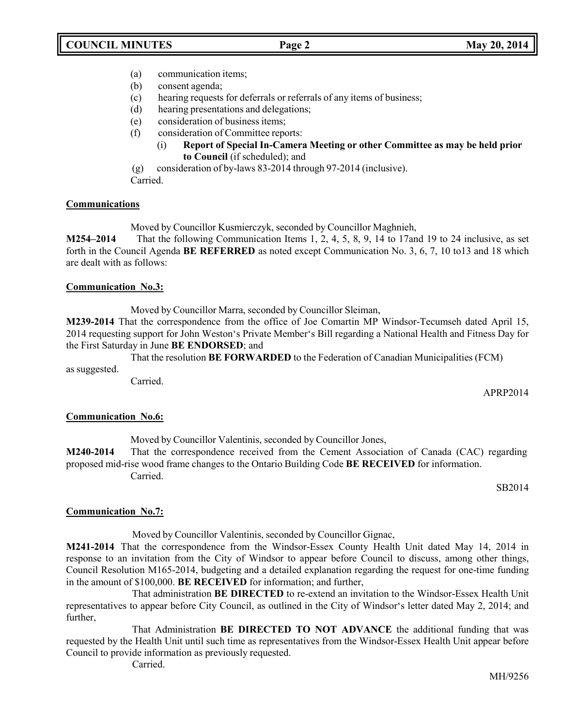- (a) communication items;
- (b) consent agenda;
- (c) hearing requests for deferrals or referrals of any items of business;
- (d) hearing presentations and delegations;
- (e) consideration of business items;
- (f) consideration of Committee reports:
	- (i) **Report of Special In-Camera Meeting or other Committee as may be held prior to Council** (if scheduled); and
- (g) consideration of by-laws 83-2014 through 97-2014 (inclusive).

Carried.

### **Communications**

Moved by Councillor Kusmierczyk, seconded by Councillor Maghnieh,

**M254–2014** That the following Communication Items 1, 2, 4, 5, 8, 9, 14 to 17and 19 to 24 inclusive, as set forth in the Council Agenda **BE REFERRED** as noted except Communication No. 3, 6, 7, 10 to13 and 18 which are dealt with as follows:

### **Communication No.3:**

Moved by Councillor Marra, seconded by Councillor Sleiman,

**M239-2014** That the correspondence from the office of Joe Comartin MP Windsor-Tecumseh dated April 15, 2014 requesting support for John Weston's Private Member's Bill regarding a National Health and Fitness Day for the First Saturday in June **BE ENDORSED**; and

That the resolution **BE FORWARDED** to the Federation of Canadian Municipalities (FCM) as suggested.

Carried.

APRP2014

### **Communication No.6:**

Moved by Councillor Valentinis, seconded by Councillor Jones,

**M240-2014** That the correspondence received from the Cement Association of Canada (CAC) regarding proposed mid-rise wood frame changes to the Ontario Building Code **BE RECEIVED** for information. Carried.

SB2014

## **Communication No.7:**

Moved by Councillor Valentinis, seconded by Councillor Gignac,

**M241-2014** That the correspondence from the Windsor-Essex County Health Unit dated May 14, 2014 in response to an invitation from the City of Windsor to appear before Council to discuss, among other things, Council Resolution M165-2014, budgeting and a detailed explanation regarding the request for one-time funding in the amount of \$100,000. **BE RECEIVED** for information; and further,

That administration **BE DIRECTED** to re-extend an invitation to the Windsor-Essex Health Unit representatives to appear before City Council, as outlined in the City of Windsor's letter dated May 2, 2014; and further,

That Administration **BE DIRECTED TO NOT ADVANCE** the additional funding that was requested by the Health Unit until such time as representatives from the Windsor-Essex Health Unit appear before Council to provide information as previously requested.

Carried.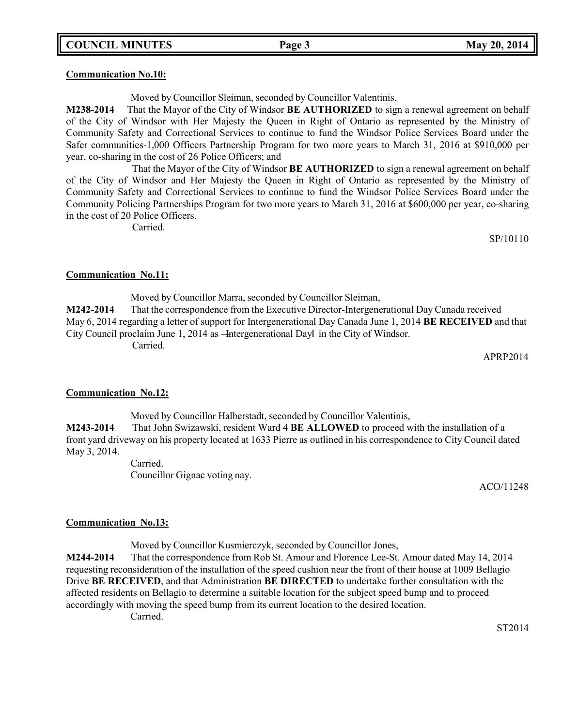### **Communication No.10:**

Moved by Councillor Sleiman, seconded by Councillor Valentinis,

**M238-2014** That the Mayor of the City of Windsor **BE AUTHORIZED** to sign a renewal agreement on behalf of the City of Windsor with Her Majesty the Queen in Right of Ontario as represented by the Ministry of Community Safety and Correctional Services to continue to fund the Windsor Police Services Board under the Safer communities-1,000 Officers Partnership Program for two more years to March 31, 2016 at \$910,000 per year, co-sharing in the cost of 26 Police Officers; and

That the Mayor of the City of Windsor **BE AUTHORIZED** to sign a renewal agreement on behalf of the City of Windsor and Her Majesty the Queen in Right of Ontario as represented by the Ministry of Community Safety and Correctional Services to continue to fund the Windsor Police Services Board under the Community Policing Partnerships Program for two more years to March 31, 2016 at \$600,000 per year, co-sharing in the cost of 20 Police Officers.

Carried.

SP/10110

### **Communication No.11:**

Moved by Councillor Marra, seconded by Councillor Sleiman, **M242-2014** That the correspondence from the Executive Director-Intergenerational Day Canada received May 6, 2014 regarding a letter of support for Intergenerational Day Canada June 1, 2014 **BE RECEIVED** and that City Council proclaim June 1, 2014 as —Intergenerational Dayl in the City of Windsor. Carried.

APRP2014

### **Communication No.12:**

Moved by Councillor Halberstadt, seconded by Councillor Valentinis, **M243-2014** That John Swizawski, resident Ward 4 **BE ALLOWED** to proceed with the installation of a front yard driveway on his property located at 1633 Pierre as outlined in his correspondence to City Council dated May 3, 2014.

> Carried. Councillor Gignac voting nay.

> > ACO/11248

### **Communication No.13:**

Moved by Councillor Kusmierczyk, seconded by Councillor Jones,

**M244-2014** That the correspondence from Rob St. Amour and Florence Lee-St. Amour dated May 14, 2014 requesting reconsideration of the installation of the speed cushion near the front of their house at 1009 Bellagio Drive **BE RECEIVED**, and that Administration **BE DIRECTED** to undertake further consultation with the affected residents on Bellagio to determine a suitable location for the subject speed bump and to proceed accordingly with moving the speed bump from its current location to the desired location.

Carried.

ST2014

### **COUNCIL MINUTES Page 3 May 20, 2014**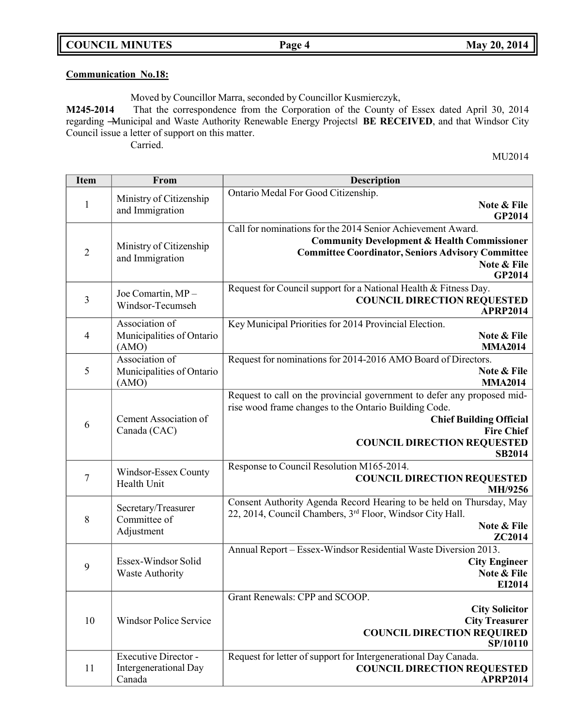**COUNCIL MINUTES Page 4 May 20, 2014**

# **Communication No.18:**

Moved by Councillor Marra, seconded by Councillor Kusmierczyk,

**M245-2014** That the correspondence from the Corporation of the County of Essex dated April 30, 2014 regarding ―Municipal and Waste Authority Renewable Energy Projects‖ **BE RECEIVED**, and that Windsor City Council issue a letter of support on this matter. Carried.

MU2014

| <b>Item</b>    | From                                                           | <b>Description</b>                                                                                                                                                                                                                             |
|----------------|----------------------------------------------------------------|------------------------------------------------------------------------------------------------------------------------------------------------------------------------------------------------------------------------------------------------|
| $\mathbf{1}$   | Ministry of Citizenship<br>and Immigration                     | Ontario Medal For Good Citizenship.<br>Note & File<br>GP2014                                                                                                                                                                                   |
| $\overline{2}$ | Ministry of Citizenship<br>and Immigration                     | Call for nominations for the 2014 Senior Achievement Award.<br><b>Community Development &amp; Health Commissioner</b><br><b>Committee Coordinator, Seniors Advisory Committee</b><br>Note & File<br><b>GP2014</b>                              |
| 3              | Joe Comartin, MP-<br>Windsor-Tecumseh                          | Request for Council support for a National Health & Fitness Day.<br><b>COUNCIL DIRECTION REQUESTED</b><br><b>APRP2014</b>                                                                                                                      |
| $\overline{4}$ | Association of<br>Municipalities of Ontario<br>(AMO)           | Key Municipal Priorities for 2014 Provincial Election.<br>Note & File<br><b>MMA2014</b>                                                                                                                                                        |
| 5              | Association of<br>Municipalities of Ontario<br>(AMO)           | Request for nominations for 2014-2016 AMO Board of Directors.<br>Note & File<br><b>MMA2014</b>                                                                                                                                                 |
| 6              | Cement Association of<br>Canada (CAC)                          | Request to call on the provincial government to defer any proposed mid-<br>rise wood frame changes to the Ontario Building Code.<br><b>Chief Building Official</b><br><b>Fire Chief</b><br><b>COUNCIL DIRECTION REQUESTED</b><br><b>SB2014</b> |
| $\overline{7}$ | Windsor-Essex County<br>Health Unit                            | Response to Council Resolution M165-2014.<br><b>COUNCIL DIRECTION REQUESTED</b><br>MH/9256                                                                                                                                                     |
| 8              | Secretary/Treasurer<br>Committee of<br>Adjustment              | Consent Authority Agenda Record Hearing to be held on Thursday, May<br>22, 2014, Council Chambers, 3 <sup>rd</sup> Floor, Windsor City Hall.<br>Note & File<br>ZC2014                                                                          |
| 9              | Essex-Windsor Solid<br><b>Waste Authority</b>                  | Annual Report - Essex-Windsor Residential Waste Diversion 2013.<br><b>City Engineer</b><br>Note & File<br>EI2014                                                                                                                               |
| 10             | <b>Windsor Police Service</b>                                  | Grant Renewals: CPP and SCOOP.<br><b>City Solicitor</b><br><b>City Treasurer</b><br><b>COUNCIL DIRECTION REQUIRED</b><br>SP/10110                                                                                                              |
| 11             | Executive Director -<br><b>Intergenerational Day</b><br>Canada | Request for letter of support for Intergenerational Day Canada.<br><b>COUNCIL DIRECTION REQUESTED</b><br><b>APRP2014</b>                                                                                                                       |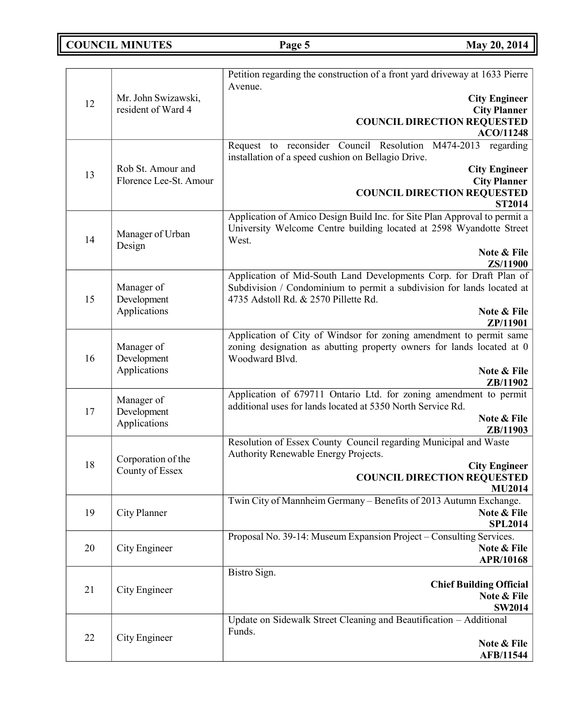# **COUNCIL MINUTES Page 5 May** 20, 2014

|    |                                           | Petition regarding the construction of a front yard driveway at 1633 Pierre                                                                               |
|----|-------------------------------------------|-----------------------------------------------------------------------------------------------------------------------------------------------------------|
| 12 | Mr. John Swizawski,                       | Avenue.                                                                                                                                                   |
|    |                                           | <b>City Engineer</b>                                                                                                                                      |
|    | resident of Ward 4                        | <b>City Planner</b><br><b>COUNCIL DIRECTION REQUESTED</b>                                                                                                 |
|    |                                           | <b>ACO/11248</b>                                                                                                                                          |
|    |                                           | Request to reconsider Council Resolution M474-2013<br>regarding<br>installation of a speed cushion on Bellagio Drive.                                     |
|    | Rob St. Amour and                         | <b>City Engineer</b>                                                                                                                                      |
| 13 | Florence Lee-St. Amour                    | <b>City Planner</b>                                                                                                                                       |
|    |                                           | <b>COUNCIL DIRECTION REQUESTED</b>                                                                                                                        |
|    |                                           | <b>ST2014</b>                                                                                                                                             |
| 14 | Manager of Urban                          | Application of Amico Design Build Inc. for Site Plan Approval to permit a<br>University Welcome Centre building located at 2598 Wyandotte Street<br>West. |
|    | Design                                    | Note & File                                                                                                                                               |
|    |                                           | ZS/11900                                                                                                                                                  |
|    |                                           | Application of Mid-South Land Developments Corp. for Draft Plan of                                                                                        |
|    | Manager of                                | Subdivision / Condominium to permit a subdivision for lands located at                                                                                    |
| 15 | Development                               | 4735 Adstoll Rd. & 2570 Pillette Rd.                                                                                                                      |
|    | Applications                              | Note & File<br>ZP/11901                                                                                                                                   |
|    |                                           | Application of City of Windsor for zoning amendment to permit same                                                                                        |
|    | Manager of<br>Development<br>Applications | zoning designation as abutting property owners for lands located at 0                                                                                     |
| 16 |                                           | Woodward Blvd.                                                                                                                                            |
|    |                                           | Note & File                                                                                                                                               |
|    |                                           | ZB/11902<br>Application of 679711 Ontario Ltd. for zoning amendment to permit                                                                             |
|    | Manager of                                | additional uses for lands located at 5350 North Service Rd.                                                                                               |
| 17 | Development                               | Note & File                                                                                                                                               |
|    | Applications                              | ZB/11903                                                                                                                                                  |
|    | Corporation of the                        | Resolution of Essex County Council regarding Municipal and Waste                                                                                          |
|    |                                           | Authority Renewable Energy Projects.                                                                                                                      |
| 18 | County of Essex                           | <b>City Engineer</b>                                                                                                                                      |
|    |                                           | <b>COUNCIL DIRECTION REQUESTED</b><br><b>MU2014</b>                                                                                                       |
|    |                                           | Twin City of Mannheim Germany - Benefits of 2013 Autumn Exchange.                                                                                         |
| 19 | City Planner                              | Note & File                                                                                                                                               |
|    |                                           | <b>SPL2014</b>                                                                                                                                            |
|    |                                           | Proposal No. 39-14: Museum Expansion Project - Consulting Services.                                                                                       |
| 20 | City Engineer                             | Note & File                                                                                                                                               |
|    |                                           | APR/10168<br>Bistro Sign.                                                                                                                                 |
|    |                                           | <b>Chief Building Official</b>                                                                                                                            |
| 21 | City Engineer                             | Note & File                                                                                                                                               |
|    |                                           | <b>SW2014</b>                                                                                                                                             |
|    |                                           | Update on Sidewalk Street Cleaning and Beautification - Additional                                                                                        |
| 22 | City Engineer                             | Funds.                                                                                                                                                    |
|    |                                           | Note & File<br><b>AFB/11544</b>                                                                                                                           |
|    |                                           |                                                                                                                                                           |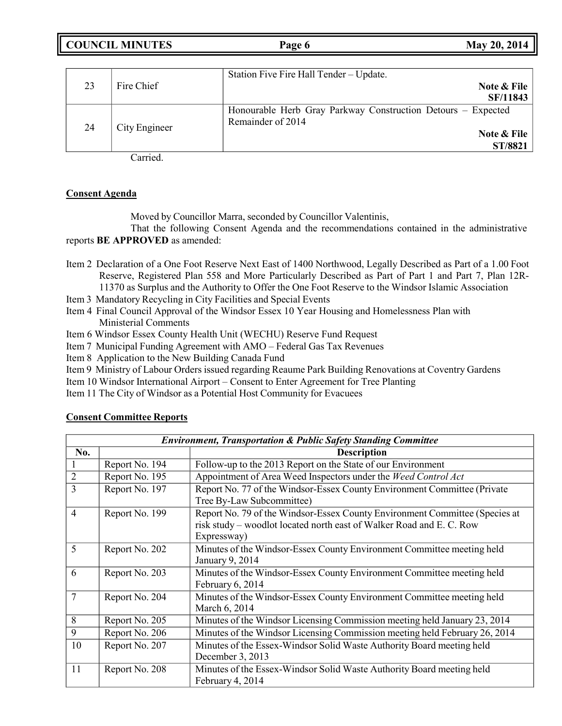**COUNCIL MINUTES Page 6 May 20, 2014**

|    |               | Station Five Fire Hall Tender - Update.                      |
|----|---------------|--------------------------------------------------------------|
| 23 | Fire Chief    | Note & File                                                  |
|    |               | SF/11843                                                     |
| 24 | City Engineer | Honourable Herb Gray Parkway Construction Detours – Expected |
|    |               | Remainder of 2014                                            |
|    |               | Note & File                                                  |
|    |               | <b>ST/8821</b>                                               |

Carried.

### **Consent Agenda**

Moved by Councillor Marra, seconded by Councillor Valentinis,

That the following Consent Agenda and the recommendations contained in the administrative reports **BE APPROVED** as amended:

- Item 2 Declaration of a One Foot Reserve Next East of 1400 Northwood, Legally Described as Part of a 1.00 Foot Reserve, Registered Plan 558 and More Particularly Described as Part of Part 1 and Part 7, Plan 12R-11370 as Surplus and the Authority to Offer the One Foot Reserve to the Windsor Islamic Association
- Item 3 Mandatory Recycling in City Facilities and Special Events
- Item 4 Final Council Approval of the Windsor Essex 10 Year Housing and Homelessness Plan with Ministerial Comments
- Item 6 Windsor Essex County Health Unit (WECHU) Reserve Fund Request
- Item 7 Municipal Funding Agreement with AMO Federal Gas Tax Revenues
- Item 8 Application to the New Building Canada Fund
- Item 9 Ministry of Labour Orders issued regarding Reaume Park Building Renovations at Coventry Gardens
- Item 10 Windsor International Airport Consent to Enter Agreement for Tree Planting
- Item 11 The City of Windsor as a Potential Host Community for Evacuees

| <b>Environment, Transportation &amp; Public Safety Standing Committee</b> |                |                                                                                                                                                                    |
|---------------------------------------------------------------------------|----------------|--------------------------------------------------------------------------------------------------------------------------------------------------------------------|
| No.                                                                       |                | <b>Description</b>                                                                                                                                                 |
|                                                                           | Report No. 194 | Follow-up to the 2013 Report on the State of our Environment                                                                                                       |
| $\overline{2}$                                                            | Report No. 195 | Appointment of Area Weed Inspectors under the Weed Control Act                                                                                                     |
| 3                                                                         | Report No. 197 | Report No. 77 of the Windsor-Essex County Environment Committee (Private<br>Tree By-Law Subcommittee)                                                              |
| $\overline{4}$                                                            | Report No. 199 | Report No. 79 of the Windsor-Essex County Environment Committee (Species at<br>risk study – woodlot located north east of Walker Road and E. C. Row<br>Expressway) |
| 5                                                                         | Report No. 202 | Minutes of the Windsor-Essex County Environment Committee meeting held<br>January 9, 2014                                                                          |
| 6                                                                         | Report No. 203 | Minutes of the Windsor-Essex County Environment Committee meeting held<br>February 6, 2014                                                                         |
| $\overline{7}$                                                            | Report No. 204 | Minutes of the Windsor-Essex County Environment Committee meeting held<br>March 6, 2014                                                                            |
| 8                                                                         | Report No. 205 | Minutes of the Windsor Licensing Commission meeting held January 23, 2014                                                                                          |
| 9                                                                         | Report No. 206 | Minutes of the Windsor Licensing Commission meeting held February 26, 2014                                                                                         |
| 10                                                                        | Report No. 207 | Minutes of the Essex-Windsor Solid Waste Authority Board meeting held<br>December 3, 2013                                                                          |
| 11                                                                        | Report No. 208 | Minutes of the Essex-Windsor Solid Waste Authority Board meeting held<br>February 4, 2014                                                                          |

### **Consent Committee Reports**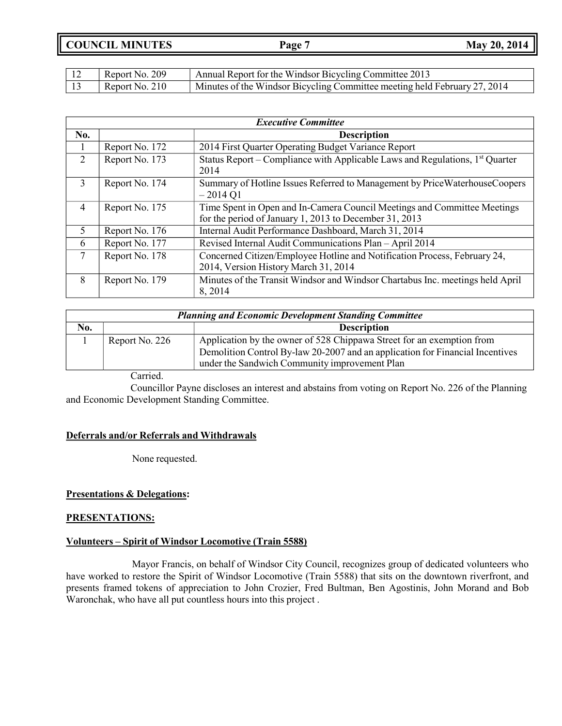| Report No. 209 | Annual Report for the Windsor Bicycling Committee 2013                    |
|----------------|---------------------------------------------------------------------------|
| Report No. 210 | Minutes of the Windsor Bicycling Committee meeting held February 27, 2014 |

| <b>Executive Committee</b> |                |                                                                                                                                    |
|----------------------------|----------------|------------------------------------------------------------------------------------------------------------------------------------|
| No.                        |                | <b>Description</b>                                                                                                                 |
|                            | Report No. 172 | 2014 First Quarter Operating Budget Variance Report                                                                                |
| 2                          | Report No. 173 | Status Report – Compliance with Applicable Laws and Regulations, $1st$ Quarter<br>2014                                             |
| 3                          | Report No. 174 | Summary of Hotline Issues Referred to Management by Price Waterhouse Coopers<br>$-2014Q1$                                          |
| 4                          | Report No. 175 | Time Spent in Open and In-Camera Council Meetings and Committee Meetings<br>for the period of January 1, 2013 to December 31, 2013 |
| 5                          | Report No. 176 | Internal Audit Performance Dashboard, March 31, 2014                                                                               |
| 6                          | Report No. 177 | Revised Internal Audit Communications Plan - April 2014                                                                            |
| 7                          | Report No. 178 | Concerned Citizen/Employee Hotline and Notification Process, February 24,<br>2014, Version History March 31, 2014                  |
| 8                          | Report No. 179 | Minutes of the Transit Windsor and Windsor Chartabus Inc. meetings held April<br>8,2014                                            |

| <b>Planning and Economic Development Standing Committee</b> |                |                                                                                                                                                                                                         |
|-------------------------------------------------------------|----------------|---------------------------------------------------------------------------------------------------------------------------------------------------------------------------------------------------------|
| No.                                                         |                | <b>Description</b>                                                                                                                                                                                      |
|                                                             | Report No. 226 | Application by the owner of 528 Chippawa Street for an exemption from<br>Demolition Control By-law 20-2007 and an application for Financial Incentives<br>under the Sandwich Community improvement Plan |

Carried.

Councillor Payne discloses an interest and abstains from voting on Report No. 226 of the Planning and Economic Development Standing Committee.

### **Deferrals and/or Referrals and Withdrawals**

None requested.

### **Presentations & Delegations:**

### **PRESENTATIONS:**

### **Volunteers – Spirit of Windsor Locomotive (Train 5588)**

Mayor Francis, on behalf of Windsor City Council, recognizes group of dedicated volunteers who have worked to restore the Spirit of Windsor Locomotive (Train 5588) that sits on the downtown riverfront, and presents framed tokens of appreciation to John Crozier, Fred Bultman, Ben Agostinis, John Morand and Bob Waronchak, who have all put countless hours into this project .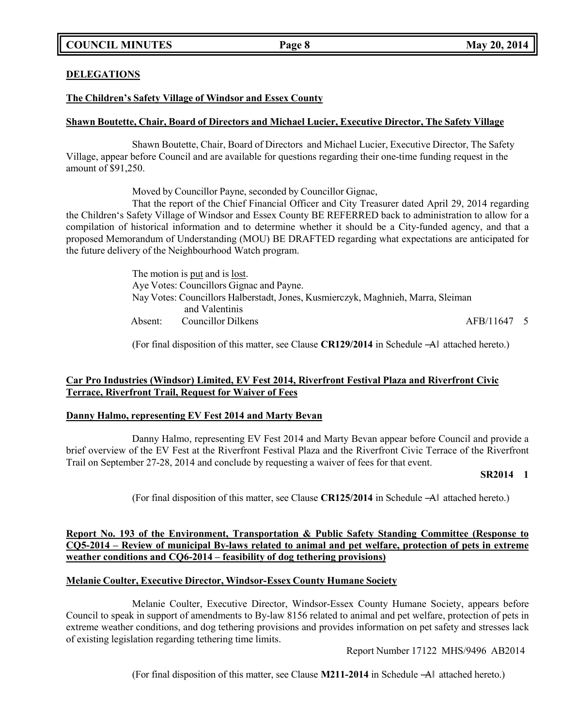### **DELEGATIONS**

### **The Children's Safety Village of Windsor and Essex County**

### **Shawn Boutette, Chair, Board of Directors and Michael Lucier, Executive Director, The Safety Village**

Shawn Boutette, Chair, Board of Directors and Michael Lucier, Executive Director, The Safety Village, appear before Council and are available for questions regarding their one-time funding request in the amount of \$91,250.

Moved by Councillor Payne, seconded by Councillor Gignac,

That the report of the Chief Financial Officer and City Treasurer dated April 29, 2014 regarding the Children's Safety Village of Windsor and Essex County BE REFERRED back to administration to allow for a compilation of historical information and to determine whether it should be a City-funded agency, and that a proposed Memorandum of Understanding (MOU) BE DRAFTED regarding what expectations are anticipated for the future delivery of the Neighbourhood Watch program.

> The motion is put and is lost. Aye Votes: Councillors Gignac and Payne. Nay Votes: Councillors Halberstadt, Jones, Kusmierczyk, Maghnieh, Marra, Sleiman and Valentinis Absent: Councillor Dilkens and AFB/11647 5

(For final disposition of this matter, see Clause **CR129/2014** in Schedule ―A‖ attached hereto.)

### **Car Pro Industries (Windsor) Limited, EV Fest 2014, Riverfront Festival Plaza and Riverfront Civic Terrace, Riverfront Trail, Request for Waiver of Fees**

### **Danny Halmo, representing EV Fest 2014 and Marty Bevan**

Danny Halmo, representing EV Fest 2014 and Marty Bevan appear before Council and provide a brief overview of the EV Fest at the Riverfront Festival Plaza and the Riverfront Civic Terrace of the Riverfront Trail on September 27-28, 2014 and conclude by requesting a waiver of fees for that event.

### **SR2014 1**

(For final disposition of this matter, see Clause **CR125/2014** in Schedule ―A‖ attached hereto.)

### **Report No. 193 of the Environment, Transportation & Public Safety Standing Committee (Response to CQ5-2014 – Review of municipal By-laws related to animal and pet welfare, protection of pets in extreme weather conditions and CQ6-2014 – feasibility of dog tethering provisions)**

### **Melanie Coulter, Executive Director, Windsor-Essex County Humane Society**

Melanie Coulter, Executive Director, Windsor-Essex County Humane Society, appears before Council to speak in support of amendments to By-law 8156 related to animal and pet welfare, protection of pets in extreme weather conditions, and dog tethering provisions and provides information on pet safety and stresses lack of existing legislation regarding tethering time limits.

Report Number 17122 MHS/9496 AB2014

(For final disposition of this matter, see Clause **M211-2014** in Schedule ―A‖ attached hereto.)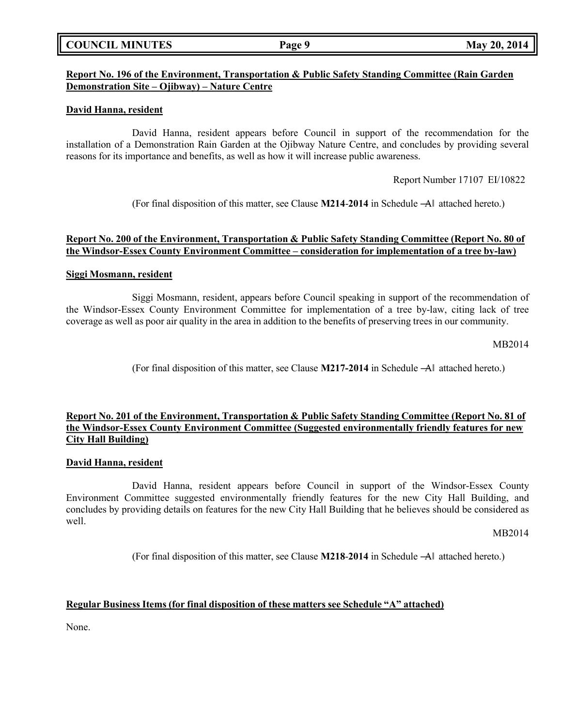### **COUNCIL MINUTES Page 9 May 20, 2014**

### **Report No. 196 of the Environment, Transportation & Public Safety Standing Committee (Rain Garden Demonstration Site – Ojibway) – Nature Centre**

### **David Hanna, resident**

David Hanna, resident appears before Council in support of the recommendation for the installation of a Demonstration Rain Garden at the Ojibway Nature Centre, and concludes by providing several reasons for its importance and benefits, as well as how it will increase public awareness.

Report Number 17107 EI/10822

(For final disposition of this matter, see Clause **M214**-**2014** in Schedule ―A‖ attached hereto.)

### **Report No. 200 of the Environment, Transportation & Public Safety Standing Committee (Report No. 80 of the Windsor-Essex County Environment Committee – consideration for implementation of a tree by-law)**

### **Siggi Mosmann, resident**

Siggi Mosmann, resident, appears before Council speaking in support of the recommendation of the Windsor-Essex County Environment Committee for implementation of a tree by-law, citing lack of tree coverage as well as poor air quality in the area in addition to the benefits of preserving trees in our community.

MB2014

(For final disposition of this matter, see Clause **M217-2014** in Schedule ―A‖ attached hereto.)

### **Report No. 201 of the Environment, Transportation & Public Safety Standing Committee (Report No. 81 of the Windsor-Essex County Environment Committee (Suggested environmentally friendly features for new City Hall Building)**

### **David Hanna, resident**

David Hanna, resident appears before Council in support of the Windsor-Essex County Environment Committee suggested environmentally friendly features for the new City Hall Building, and concludes by providing details on features for the new City Hall Building that he believes should be considered as well.

MB2014

(For final disposition of this matter, see Clause **M218**-**2014** in Schedule ―A‖ attached hereto.)

### **Regular Business Items (for final disposition of these matters see Schedule "A" attached)**

None.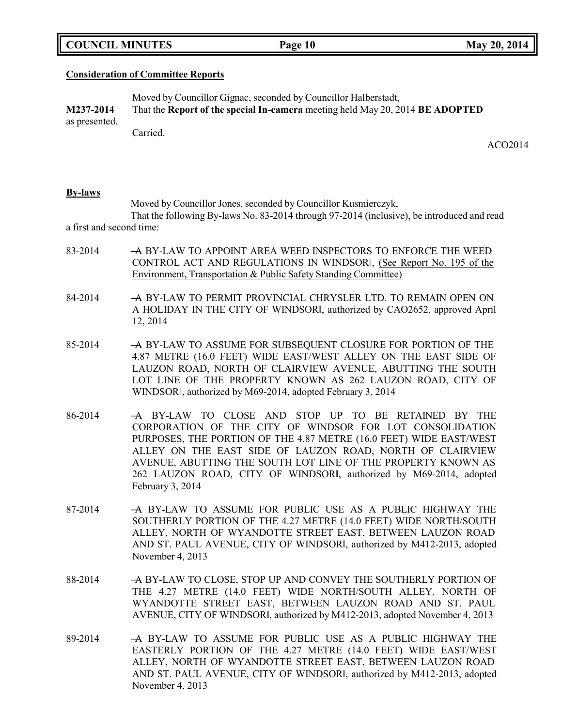|  | <b>COUNCIL MINUTES</b> |
|--|------------------------|
|--|------------------------|

### **Consideration of Committee Reports**

|               | Moved by Councillor Gignac, seconded by Councillor Halberstadt,               |
|---------------|-------------------------------------------------------------------------------|
| M237-2014     | That the Report of the special In-camera meeting held May 20, 2014 BE ADOPTED |
| as presented. |                                                                               |
|               | Carried.                                                                      |

ACO2014

### **By-laws**

Moved by Councillor Jones, seconded by Councillor Kusmierczyk, That the following By-laws No. 83-2014 through 97-2014 (inclusive), be introduced and read a first and second time:

- 83-2014 A BY-LAW TO APPOINT AREA WEED INSPECTORS TO ENFORCE THE WEED CONTROL ACT AND REGULATIONS IN WINDSOR‖, (See Report No. 195 of the Environment, Transportation & Public Safety Standing Committee)
- 84-2014 ―A BY-LAW TO PERMIT PROVINCIAL CHRYSLER LTD. TO REMAIN OPEN ON A HOLIDAY IN THE CITY OF WINDSOR‖, authorized by CAO2652, approved April 12, 2014
- 85-2014 ―A BY-LAW TO ASSUME FOR SUBSEQUENT CLOSURE FOR PORTION OF THE 4.87 METRE (16.0 FEET) WIDE EAST/WEST ALLEY ON THE EAST SIDE OF LAUZON ROAD, NORTH OF CLAIRVIEW AVENUE, ABUTTING THE SOUTH LOT LINE OF THE PROPERTY KNOWN AS 262 LAUZON ROAD, CITY OF WINDSOR‖, authorized by M69-2014, adopted February 3, 2014
- 86-2014 ―A BY-LAW TO CLOSE AND STOP UP TO BE RETAINED BY THE CORPORATION OF THE CITY OF WINDSOR FOR LOT CONSOLIDATION PURPOSES, THE PORTION OF THE 4.87 METRE (16.0 FEET) WIDE EAST/WEST ALLEY ON THE EAST SIDE OF LAUZON ROAD, NORTH OF CLAIRVIEW AVENUE, ABUTTING THE SOUTH LOT LINE OF THE PROPERTY KNOWN AS 262 LAUZON ROAD, CITY OF WINDSOR‖, authorized by M69-2014, adopted February 3, 2014
- 87-2014 ―A BY-LAW TO ASSUME FOR PUBLIC USE AS A PUBLIC HIGHWAY THE SOUTHERLY PORTION OF THE 4.27 METRE (14.0 FEET) WIDE NORTH/SOUTH ALLEY, NORTH OF WYANDOTTE STREET EAST, BETWEEN LAUZON ROAD AND ST. PAUL AVENUE, CITY OF WINDSOR‖, authorized by M412-2013, adopted November 4, 2013
- 88-2014 ―A BY-LAW TO CLOSE, STOP UP AND CONVEY THE SOUTHERLY PORTION OF THE 4.27 METRE (14.0 FEET) WIDE NORTH/SOUTH ALLEY, NORTH OF WYANDOTTE STREET EAST, BETWEEN LAUZON ROAD AND ST. PAUL AVENUE, CITY OF WINDSOR‖, authorized by M412-2013, adopted November 4, 2013
- 89-2014 ―A BY-LAW TO ASSUME FOR PUBLIC USE AS A PUBLIC HIGHWAY THE EASTERLY PORTION OF THE 4.27 METRE (14.0 FEET) WIDE EAST/WEST ALLEY, NORTH OF WYANDOTTE STREET EAST, BETWEEN LAUZON ROAD AND ST. PAUL AVENUE, CITY OF WINDSOR‖, authorized by M412-2013, adopted November 4, 2013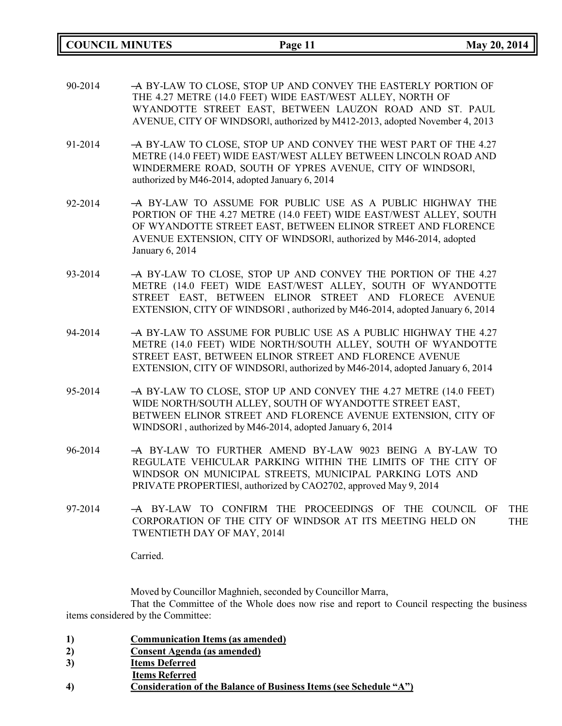**COUNCIL MINUTES Page 11 May 20, 2014**

- 90-2014 ―A BY-LAW TO CLOSE, STOP UP AND CONVEY THE EASTERLY PORTION OF THE 4.27 METRE (14.0 FEET) WIDE EAST/WEST ALLEY, NORTH OF WYANDOTTE STREET EAST, BETWEEN LAUZON ROAD AND ST. PAUL AVENUE, CITY OF WINDSOR‖, authorized by M412-2013, adopted November 4, 2013
- 91-2014 ―A BY-LAW TO CLOSE, STOP UP AND CONVEY THE WEST PART OF THE 4.27 METRE (14.0 FEET) WIDE EAST/WEST ALLEY BETWEEN LINCOLN ROAD AND WINDERMERE ROAD, SOUTH OF YPRES AVENUE, CITY OF WINDSOR‖, authorized by M46-2014, adopted January 6, 2014

92-2014 - A BY-LAW TO ASSUME FOR PUBLIC USE AS A PUBLIC HIGHWAY THE PORTION OF THE 4.27 METRE (14.0 FEET) WIDE EAST/WEST ALLEY, SOUTH OF WYANDOTTE STREET EAST, BETWEEN ELINOR STREET AND FLORENCE AVENUE EXTENSION, CITY OF WINDSOR‖, authorized by M46-2014, adopted January 6, 2014

- 93-2014 A BY-LAW TO CLOSE, STOP UP AND CONVEY THE PORTION OF THE 4.27 METRE (14.0 FEET) WIDE EAST/WEST ALLEY, SOUTH OF WYANDOTTE STREET EAST, BETWEEN ELINOR STREET AND FLORECE AVENUE EXTENSION, CITY OF WINDSOR‖ , authorized by M46-2014, adopted January 6, 2014
- 94-2014 A BY-LAW TO ASSUME FOR PUBLIC USE AS A PUBLIC HIGHWAY THE 4.27 METRE (14.0 FEET) WIDE NORTH/SOUTH ALLEY, SOUTH OF WYANDOTTE STREET EAST, BETWEEN ELINOR STREET AND FLORENCE AVENUE EXTENSION, CITY OF WINDSOR‖, authorized by M46-2014, adopted January 6, 2014
- 95-2014 ―A BY-LAW TO CLOSE, STOP UP AND CONVEY THE 4.27 METRE (14.0 FEET) WIDE NORTH/SOUTH ALLEY, SOUTH OF WYANDOTTE STREET EAST, BETWEEN ELINOR STREET AND FLORENCE AVENUE EXTENSION, CITY OF WINDSOR‖ , authorized by M46-2014, adopted January 6, 2014
- 96-2014 ―A BY-LAW TO FURTHER AMEND BY-LAW 9023 BEING A BY-LAW TO REGULATE VEHICULAR PARKING WITHIN THE LIMITS OF THE CITY OF WINDSOR ON MUNICIPAL STREETS, MUNICIPAL PARKING LOTS AND PRIVATE PROPERTIES‖, authorized by CAO2702, approved May 9, 2014
- 97-2014 ―A BY-LAW TO CONFIRM THE PROCEEDINGS OF THE COUNCIL OF THE CORPORATION OF THE CITY OF WINDSOR AT ITS MEETING HELD ON TWENTIETH DAY OF MAY, 2014‖ THE

Carried.

Moved by Councillor Maghnieh, seconded by Councillor Marra, That the Committee of the Whole does now rise and report to Council respecting the business items considered by the Committee:

- **1) Communication Items (as amended)**
- **2) Consent Agenda (as amended)**
- **3) Items Deferred**
- **Items Referred**
- **4) Consideration of the Balance of Business Items (see Schedule "A")**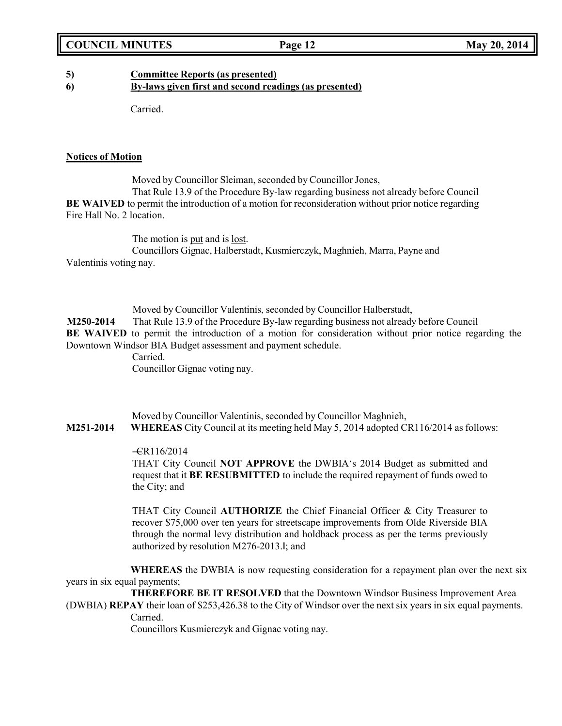# **5) Committee Reports (as presented)**

**6) By-laws given first and second readings (as presented)**

Carried.

### **Notices of Motion**

Moved by Councillor Sleiman, seconded by Councillor Jones, That Rule 13.9 of the Procedure By-law regarding business not already before Council **BE WAIVED** to permit the introduction of a motion for reconsideration without prior notice regarding Fire Hall No. 2 location.

The motion is put and is lost. Councillors Gignac, Halberstadt, Kusmierczyk, Maghnieh, Marra, Payne and Valentinis voting nay.

Moved by Councillor Valentinis, seconded by Councillor Halberstadt, **M250-2014** That Rule 13.9 of the Procedure By-law regarding business not already before Council **BE WAIVED** to permit the introduction of a motion for consideration without prior notice regarding the Downtown Windsor BIA Budget assessment and payment schedule. Carried. Councillor Gignac voting nay.

Moved by Councillor Valentinis, seconded by Councillor Maghnieh, **M251-2014 WHEREAS** City Council at its meeting held May 5, 2014 adopted CR116/2014 as follows:

### $-$ CR116/2014

THAT City Council **NOT APPROVE** the DWBIA's 2014 Budget as submitted and request that it **BE RESUBMITTED** to include the required repayment of funds owed to the City; and

THAT City Council **AUTHORIZE** the Chief Financial Officer & City Treasurer to recover \$75,000 over ten years for streetscape improvements from Olde Riverside BIA through the normal levy distribution and holdback process as per the terms previously authorized by resolution M276-2013.‖; and

**WHEREAS** the DWBIA is now requesting consideration for a repayment plan over the next six years in six equal payments;

**THEREFORE BE IT RESOLVED** that the Downtown Windsor Business Improvement Area (DWBIA) **REPAY** their loan of \$253,426.38 to the City of Windsor over the next six years in six equal payments.

Carried.

Councillors Kusmierczyk and Gignac voting nay.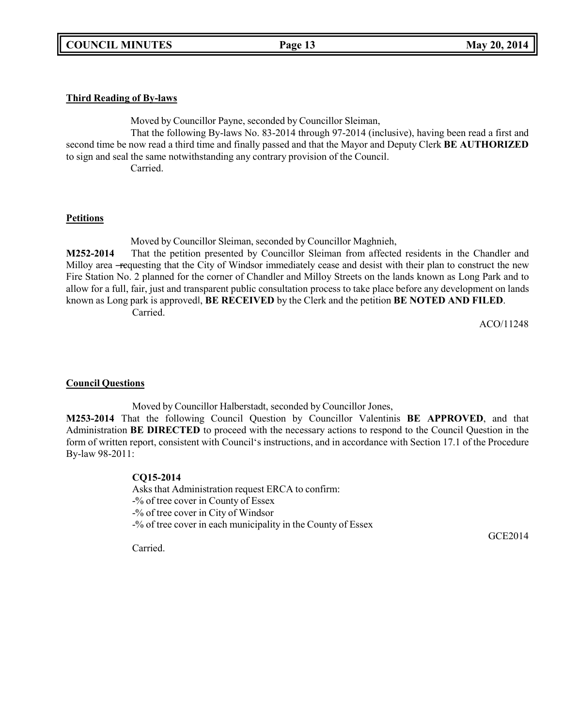### **Third Reading of By-laws**

Moved by Councillor Payne, seconded by Councillor Sleiman,

That the following By-laws No. 83-2014 through 97-2014 (inclusive), having been read a first and second time be now read a third time and finally passed and that the Mayor and Deputy Clerk **BE AUTHORIZED** to sign and seal the same notwithstanding any contrary provision of the Council.

Carried.

### **Petitions**

Moved by Councillor Sleiman, seconded by Councillor Maghnieh,

**M252-2014** That the petition presented by Councillor Sleiman from affected residents in the Chandler and Milloy area -requesting that the City of Windsor immediately cease and desist with their plan to construct the new Fire Station No. 2 planned for the corner of Chandler and Milloy Streets on the lands known as Long Park and to allow for a full, fair, just and transparent public consultation process to take place before any development on lands known as Long park is approved‖, **BE RECEIVED** by the Clerk and the petition **BE NOTED AND FILED**. Carried.

ACO/11248

## **Council Questions**

Moved by Councillor Halberstadt, seconded by Councillor Jones,

**M253-2014** That the following Council Question by Councillor Valentinis **BE APPROVED**, and that Administration **BE DIRECTED** to proceed with the necessary actions to respond to the Council Question in the form of written report, consistent with Council's instructions, and in accordance with Section 17.1 of the Procedure By-law 98-2011:

### **CQ15-2014**

Asks that Administration request ERCA to confirm: -% of tree cover in County of Essex -% of tree cover in City of Windsor -% of tree cover in each municipality in the County of Essex

GCE2014

Carried.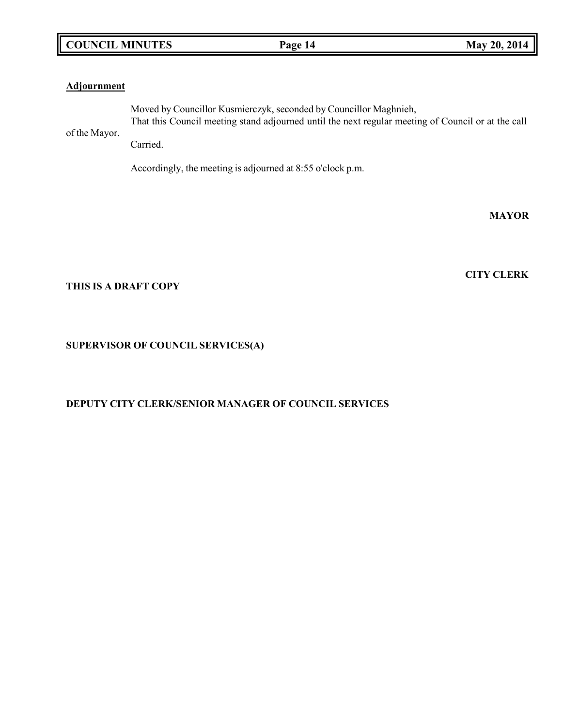# **COUNCIL MINUTES Page 14 May 20, 2014**

# **Adjournment**

Moved by Councillor Kusmierczyk, seconded by Councillor Maghnieh, That this Council meeting stand adjourned until the next regular meeting of Council or at the call

of the Mayor. Carried.

Accordingly, the meeting is adjourned at 8:55 o'clock p.m.

## **THIS IS A DRAFT COPY**

# **SUPERVISOR OF COUNCIL SERVICES(A)**

## **DEPUTY CITY CLERK/SENIOR MANAGER OF COUNCIL SERVICES**

# **CITY CLERK**

**MAYOR**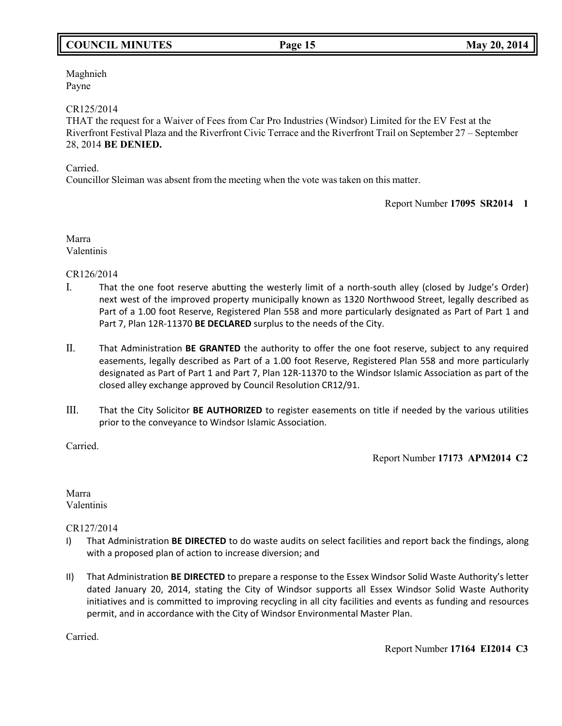# **COUNCIL MINUTES Page 15 May 20, 2014**

Maghnieh Payne

### CR125/2014

THAT the request for a Waiver of Fees from Car Pro Industries (Windsor) Limited for the EV Fest at the Riverfront Festival Plaza and the Riverfront Civic Terrace and the Riverfront Trail on September 27 – September 28, 2014 **BE DENIED.**

### Carried.

Councillor Sleiman was absent from the meeting when the vote was taken on this matter.

Report Number **17095 SR2014 1**

Marra Valentinis

CR126/2014

- I. That the one foot reserve abutting the westerly limit of a north-south alley (closed by Judge's Order) next west of the improved property municipally known as 1320 Northwood Street, legally described as Part of a 1.00 foot Reserve, Registered Plan 558 and more particularly designated as Part of Part 1 and Part 7, Plan 12R-11370 **BE DECLARED** surplus to the needs of the City.
- II. That Administration **BE GRANTED** the authority to offer the one foot reserve, subject to any required easements, legally described as Part of a 1.00 foot Reserve, Registered Plan 558 and more particularly designated as Part of Part 1 and Part 7, Plan 12R-11370 to the Windsor Islamic Association as part of the closed alley exchange approved by Council Resolution CR12/91.
- III. That the City Solicitor **BE AUTHORIZED** to register easements on title if needed by the various utilities prior to the conveyance to Windsor Islamic Association.

Carried.

Report Number **17173 APM2014 C2**

Marra Valentinis

CR127/2014

- I) That Administration **BE DIRECTED** to do waste audits on select facilities and report back the findings, along with a proposed plan of action to increase diversion; and
- II) That Administration **BE DIRECTED** to prepare a response to the Essex Windsor Solid Waste Authority's letter dated January 20, 2014, stating the City of Windsor supports all Essex Windsor Solid Waste Authority initiatives and is committed to improving recycling in all city facilities and events as funding and resources permit, and in accordance with the City of Windsor Environmental Master Plan.

Carried.

Report Number **17164 EI2014 C3**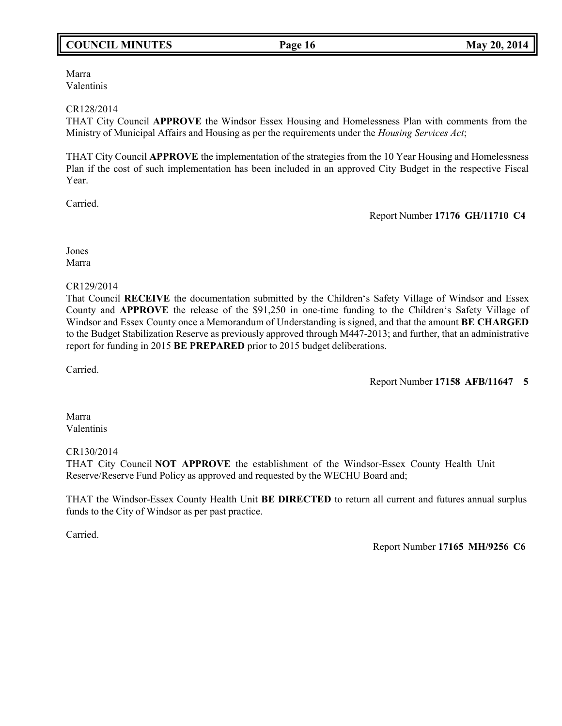# **COUNCIL MINUTES Page 16 May 20, 2014**

Marra Valentinis

### CR128/2014

THAT City Council **APPROVE** the Windsor Essex Housing and Homelessness Plan with comments from the Ministry of Municipal Affairs and Housing as per the requirements under the *Housing Services Act*;

THAT City Council **APPROVE** the implementation of the strategies from the 10 Year Housing and Homelessness Plan if the cost of such implementation has been included in an approved City Budget in the respective Fiscal Year.

Carried.

Report Number **17176 GH/11710 C4**

Jones Marra

### CR129/2014

That Council **RECEIVE** the documentation submitted by the Children's Safety Village of Windsor and Essex County and **APPROVE** the release of the \$91,250 in one-time funding to the Children's Safety Village of Windsor and Essex County once a Memorandum of Understanding is signed, and that the amount **BE CHARGED** to the Budget Stabilization Reserve as previously approved through M447-2013; and further, that an administrative report for funding in 2015 **BE PREPARED** prior to 2015 budget deliberations.

Carried.

Report Number **17158 AFB/11647 5**

Marra Valentinis

### CR130/2014

THAT City Council **NOT APPROVE** the establishment of the Windsor-Essex County Health Unit Reserve/Reserve Fund Policy as approved and requested by the WECHU Board and;

THAT the Windsor-Essex County Health Unit **BE DIRECTED** to return all current and futures annual surplus funds to the City of Windsor as per past practice.

Carried.

Report Number **17165 MH/9256 C6**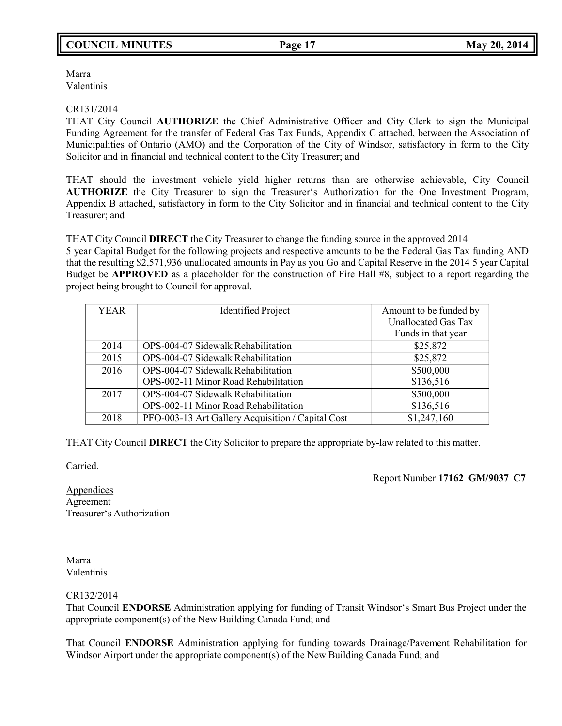# **COUNCIL MINUTES Page 17 May 20, 2014**

Marra Valentinis

### CR131/2014

THAT City Council **AUTHORIZE** the Chief Administrative Officer and City Clerk to sign the Municipal Funding Agreement for the transfer of Federal Gas Tax Funds, Appendix C attached, between the Association of Municipalities of Ontario (AMO) and the Corporation of the City of Windsor, satisfactory in form to the City Solicitor and in financial and technical content to the City Treasurer; and

THAT should the investment vehicle yield higher returns than are otherwise achievable, City Council **AUTHORIZE** the City Treasurer to sign the Treasurer's Authorization for the One Investment Program, Appendix B attached, satisfactory in form to the City Solicitor and in financial and technical content to the City Treasurer; and

THAT City Council **DIRECT** the City Treasurer to change the funding source in the approved 2014

5 year Capital Budget for the following projects and respective amounts to be the Federal Gas Tax funding AND that the resulting \$2,571,936 unallocated amounts in Pay as you Go and Capital Reserve in the 2014 5 year Capital Budget be **APPROVED** as a placeholder for the construction of Fire Hall #8, subject to a report regarding the project being brought to Council for approval.

| <b>YEAR</b> | <b>Identified Project</b>                         | Amount to be funded by     |
|-------------|---------------------------------------------------|----------------------------|
|             |                                                   | <b>Unallocated Gas Tax</b> |
|             |                                                   | Funds in that year         |
| 2014        | OPS-004-07 Sidewalk Rehabilitation                | \$25,872                   |
| 2015        | OPS-004-07 Sidewalk Rehabilitation                | \$25,872                   |
| 2016        | OPS-004-07 Sidewalk Rehabilitation                | \$500,000                  |
|             | OPS-002-11 Minor Road Rehabilitation              | \$136,516                  |
| 2017        | OPS-004-07 Sidewalk Rehabilitation                | \$500,000                  |
|             | OPS-002-11 Minor Road Rehabilitation              | \$136,516                  |
| 2018        | PFO-003-13 Art Gallery Acquisition / Capital Cost | \$1,247,160                |

THAT City Council **DIRECT** the City Solicitor to prepare the appropriate by-law related to this matter.

Carried.

Report Number **17162 GM/9037 C7**

Appendices Agreement Treasurer's Authorization

Marra Valentinis

CR132/2014

That Council **ENDORSE** Administration applying for funding of Transit Windsor's Smart Bus Project under the appropriate component(s) of the New Building Canada Fund; and

That Council **ENDORSE** Administration applying for funding towards Drainage/Pavement Rehabilitation for Windsor Airport under the appropriate component(s) of the New Building Canada Fund; and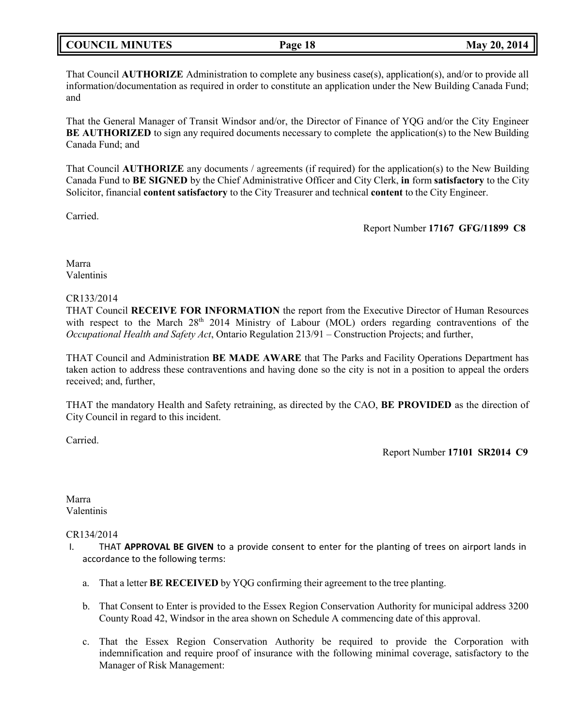|  | <b>COUNCIL MINUTES</b> |
|--|------------------------|
|--|------------------------|

That Council **AUTHORIZE** Administration to complete any business case(s), application(s), and/or to provide all information/documentation as required in order to constitute an application under the New Building Canada Fund; and

That the General Manager of Transit Windsor and/or, the Director of Finance of YQG and/or the City Engineer **BE AUTHORIZED** to sign any required documents necessary to complete the application(s) to the New Building Canada Fund; and

That Council **AUTHORIZE** any documents / agreements (if required) for the application(s) to the New Building Canada Fund to **BE SIGNED** by the Chief Administrative Officer and City Clerk, **in** form **satisfactory** to the City Solicitor, financial **content satisfactory** to the City Treasurer and technical **content** to the City Engineer.

Carried.

Report Number **17167 GFG/11899 C8**

Marra Valentinis

### CR133/2014

THAT Council **RECEIVE FOR INFORMATION** the report from the Executive Director of Human Resources with respect to the March 28<sup>th</sup> 2014 Ministry of Labour (MOL) orders regarding contraventions of the *Occupational Health and Safety Act*, Ontario Regulation 213/91 – Construction Projects; and further,

THAT Council and Administration **BE MADE AWARE** that The Parks and Facility Operations Department has taken action to address these contraventions and having done so the city is not in a position to appeal the orders received; and, further,

THAT the mandatory Health and Safety retraining, as directed by the CAO, **BE PROVIDED** as the direction of City Council in regard to this incident.

Carried.

Report Number **17101 SR2014 C9**

Marra Valentinis

CR134/2014

- I. THAT **APPROVAL BE GIVEN** to a provide consent to enter for the planting of trees on airport lands in accordance to the following terms:
	- a. That a letter **BE RECEIVED** by YQG confirming their agreement to the tree planting.
	- b. That Consent to Enter is provided to the Essex Region Conservation Authority for municipal address 3200 County Road 42, Windsor in the area shown on Schedule A commencing date of this approval.
	- c. That the Essex Region Conservation Authority be required to provide the Corporation with indemnification and require proof of insurance with the following minimal coverage, satisfactory to the Manager of Risk Management: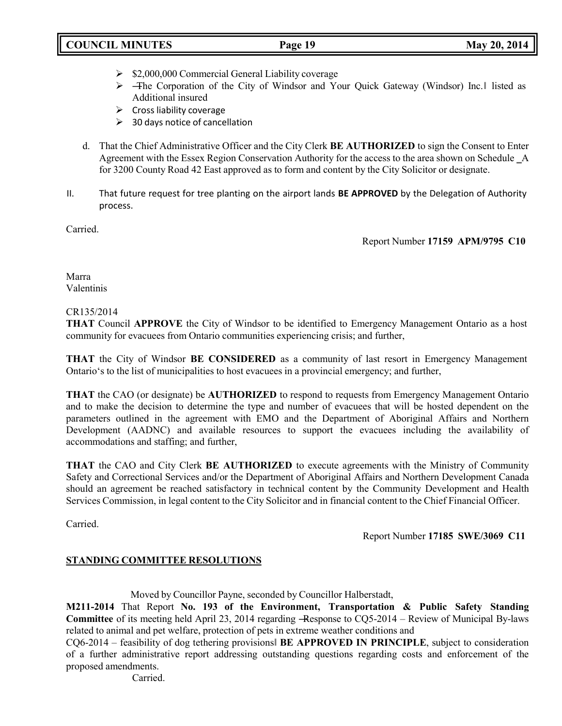# **COUNCIL MINUTES Page 19 May 20, 2014**

- $\geq$  \$2,000,000 Commercial General Liability coverage
- ⮚ ―The Corporation of the City of Windsor and Your Quick Gateway (Windsor) Inc.‖ listed as Additional insured
- $\triangleright$  Cross liability coverage
- $\geq$  30 days notice of cancellation
- d. That the Chief Administrative Officer and the City Clerk **BE AUTHORIZED** to sign the Consent to Enter Agreement with the Essex Region Conservation Authority for the access to the area shown on Schedule A for 3200 County Road 42 East approved as to form and content by the City Solicitor or designate.
- II. That future request for tree planting on the airport lands **BE APPROVED** by the Delegation of Authority process.

Carried.

Report Number **17159 APM/9795 C10**

Marra Valentinis

### CR135/2014

**THAT** Council **APPROVE** the City of Windsor to be identified to Emergency Management Ontario as a host community for evacuees from Ontario communities experiencing crisis; and further,

**THAT** the City of Windsor **BE CONSIDERED** as a community of last resort in Emergency Management Ontario's to the list of municipalities to host evacuees in a provincial emergency; and further,

**THAT** the CAO (or designate) be **AUTHORIZED** to respond to requests from Emergency Management Ontario and to make the decision to determine the type and number of evacuees that will be hosted dependent on the parameters outlined in the agreement with EMO and the Department of Aboriginal Affairs and Northern Development (AADNC) and available resources to support the evacuees including the availability of accommodations and staffing; and further,

**THAT** the CAO and City Clerk **BE AUTHORIZED** to execute agreements with the Ministry of Community Safety and Correctional Services and/or the Department of Aboriginal Affairs and Northern Development Canada should an agreement be reached satisfactory in technical content by the Community Development and Health Services Commission, in legal content to the City Solicitor and in financial content to the Chief Financial Officer.

Carried.

Report Number **17185 SWE/3069 C11**

## **STANDING COMMITTEE RESOLUTIONS**

Moved by Councillor Payne, seconded by Councillor Halberstadt,

**M211-2014** That Report **No. 193 of the Environment, Transportation & Public Safety Standing Committee** of its meeting held April 23, 2014 regarding ―Response to CQ5-2014 – Review of Municipal By-laws related to animal and pet welfare, protection of pets in extreme weather conditions and

CQ6-2014 – feasibility of dog tethering provisions‖ **BE APPROVED IN PRINCIPLE**, subject to consideration of a further administrative report addressing outstanding questions regarding costs and enforcement of the proposed amendments.

Carried.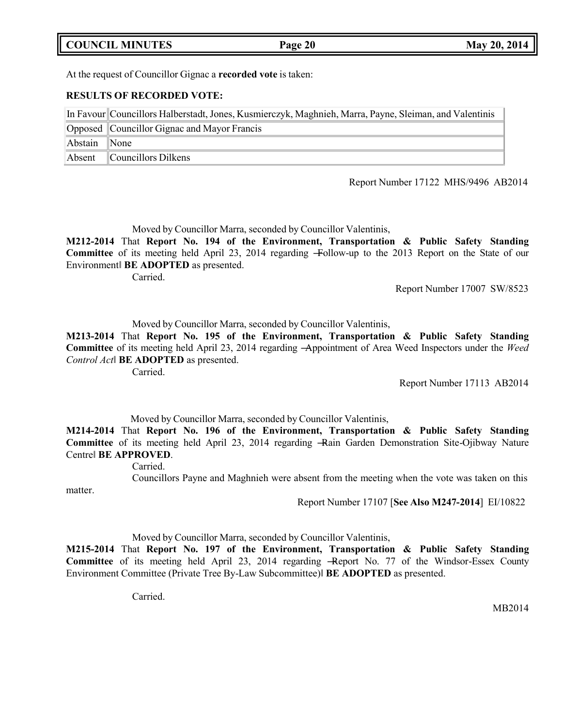|  | <b>COUNCIL MINUTES</b> |
|--|------------------------|
|--|------------------------|

### At the request of Councillor Gignac a **recorded vote** is taken:

### **RESULTS OF RECORDED VOTE:**

|         | In Favour Councillors Halberstadt, Jones, Kusmierczyk, Maghnieh, Marra, Payne, Sleiman, and Valentinis |  |  |
|---------|--------------------------------------------------------------------------------------------------------|--|--|
|         | Opposed Councillor Gignac and Mayor Francis                                                            |  |  |
| Abstain | $\blacksquare$ None                                                                                    |  |  |
| Absent  | $\mathbb{C}$ ouncillors Dilkens                                                                        |  |  |

Report Number 17122 MHS/9496 AB2014

Moved by Councillor Marra, seconded by Councillor Valentinis,

**M212-2014** That **Report No. 194 of the Environment, Transportation & Public Safety Standing Committee** of its meeting held April 23, 2014 regarding ―Follow-up to the 2013 Report on the State of our Environment‖ **BE ADOPTED** as presented.

Carried.

Report Number 17007 SW/8523

Moved by Councillor Marra, seconded by Councillor Valentinis,

**M213-2014** That **Report No. 195 of the Environment, Transportation & Public Safety Standing Committee** of its meeting held April 23, 2014 regarding ―Appointment of Area Weed Inspectors under the *Weed Control Act*‖ **BE ADOPTED** as presented.

Carried.

Report Number 17113 AB2014

Moved by Councillor Marra, seconded by Councillor Valentinis,

**M214-2014** That **Report No. 196 of the Environment, Transportation & Public Safety Standing Committee** of its meeting held April 23, 2014 regarding ―Rain Garden Demonstration Site-Ojibway Nature Centre‖ **BE APPROVED**.

Carried.

matter.

Councillors Payne and Maghnieh were absent from the meeting when the vote was taken on this

Report Number 17107 [**See Also M247-2014**] EI/10822

Moved by Councillor Marra, seconded by Councillor Valentinis,

**M215-2014** That **Report No. 197 of the Environment, Transportation & Public Safety Standing Committee** of its meeting held April 23, 2014 regarding ―Report No. 77 of the Windsor-Essex County Environment Committee (Private Tree By-Law Subcommittee)‖ **BE ADOPTED** as presented.

Carried.

MB2014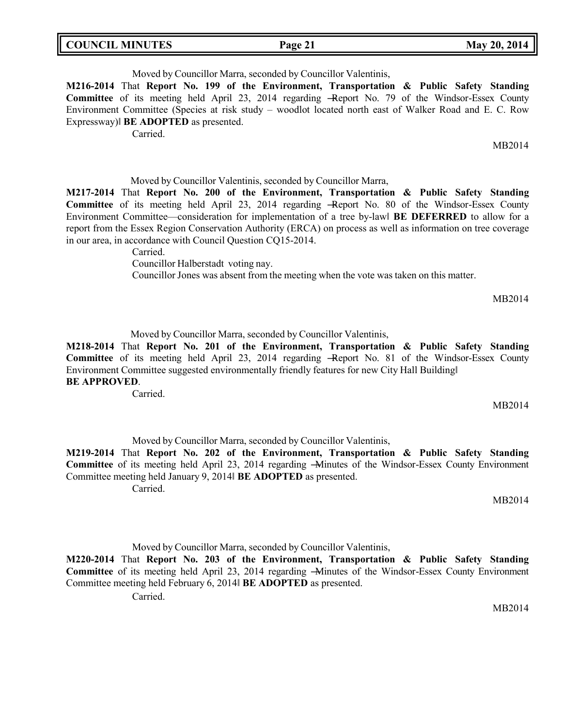| <b>COUNCIL MINUTES</b> | Page 21 |
|------------------------|---------|
|                        |         |

Moved by Councillor Marra, seconded by Councillor Valentinis,

**M216-2014** That **Report No. 199 of the Environment, Transportation & Public Safety Standing Committee** of its meeting held April 23, 2014 regarding -Report No. 79 of the Windsor-Essex County Environment Committee (Species at risk study – woodlot located north east of Walker Road and E. C. Row Expressway)‖ **BE ADOPTED** as presented.

Carried.

MB2014

**May 20, 2014** 

Moved by Councillor Valentinis, seconded by Councillor Marra,

**M217-2014** That **Report No. 200 of the Environment, Transportation & Public Safety Standing Committee** of its meeting held April 23, 2014 regarding ―Report No. 80 of the Windsor-Essex County Environment Committee—consideration for implementation of a tree by-law‖ **BE DEFERRED** to allow for a report from the Essex Region Conservation Authority (ERCA) on process as well as information on tree coverage in our area, in accordance with Council Question CQ15-2014.

Carried.

Councillor Halberstadt voting nay.

Councillor Jones was absent from the meeting when the vote was taken on this matter.

MB2014

Moved by Councillor Marra, seconded by Councillor Valentinis,

**M218-2014** That **Report No. 201 of the Environment, Transportation & Public Safety Standing Committee** of its meeting held April 23, 2014 regarding ―Report No. 81 of the Windsor-Essex County Environment Committee suggested environmentally friendly features for new City Hall Building‖ **BE APPROVED**.

Carried.

MB2014

Moved by Councillor Marra, seconded by Councillor Valentinis,

**M219-2014** That **Report No. 202 of the Environment, Transportation & Public Safety Standing Committee** of its meeting held April 23, 2014 regarding ―Minutes of the Windsor-Essex County Environment Committee meeting held January 9, 2014‖ **BE ADOPTED** as presented.

Carried.

MB2014

Moved by Councillor Marra, seconded by Councillor Valentinis,

**M220-2014** That **Report No. 203 of the Environment, Transportation & Public Safety Standing Committee** of its meeting held April 23, 2014 regarding ―Minutes of the Windsor-Essex County Environment Committee meeting held February 6, 2014‖ **BE ADOPTED** as presented.

Carried.

MB2014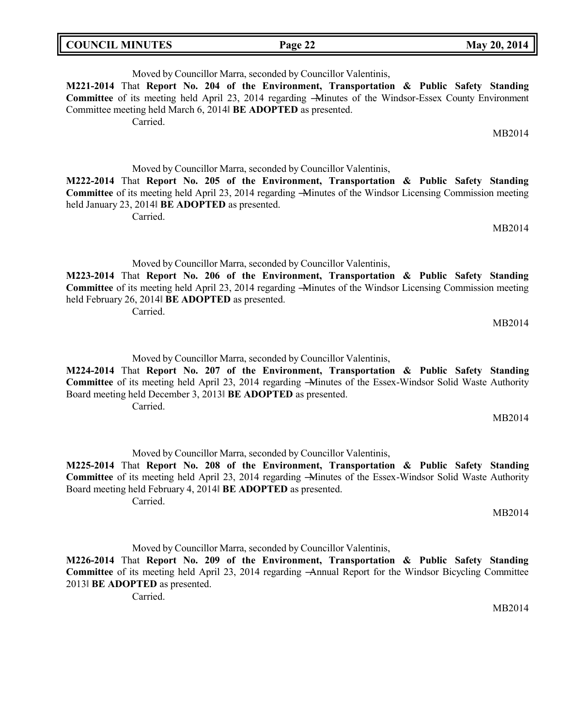| <b>COUNCIL MINUTES</b><br>May 20, 2014<br>Page 22 |  |
|---------------------------------------------------|--|
|---------------------------------------------------|--|

Moved by Councillor Marra, seconded by Councillor Valentinis, **M221-2014** That **Report No. 204 of the Environment, Transportation & Public Safety Standing Committee** of its meeting held April 23, 2014 regarding ―Minutes of the Windsor-Essex County Environment Committee meeting held March 6, 2014‖ **BE ADOPTED** as presented. Carried. MB2014 Moved by Councillor Marra, seconded by Councillor Valentinis, **M222-2014** That **Report No. 205 of the Environment, Transportation & Public Safety Standing Committee** of its meeting held April 23, 2014 regarding ―Minutes of the Windsor Licensing Commission meeting

MB2014

MB2014

Moved by Councillor Marra, seconded by Councillor Valentinis,

**M223-2014** That **Report No. 206 of the Environment, Transportation & Public Safety Standing Committee** of its meeting held April 23, 2014 regarding ―Minutes of the Windsor Licensing Commission meeting held February 26, 2014‖ **BE ADOPTED** as presented.

Carried.

Carried.

held January 23, 2014‖ **BE ADOPTED** as presented.

Moved by Councillor Marra, seconded by Councillor Valentinis,

**M224-2014** That **Report No. 207 of the Environment, Transportation & Public Safety Standing Committee** of its meeting held April 23, 2014 regarding ―Minutes of the Essex-Windsor Solid Waste Authority Board meeting held December 3, 2013‖ **BE ADOPTED** as presented. Carried.

MB2014

Moved by Councillor Marra, seconded by Councillor Valentinis,

**M225-2014** That **Report No. 208 of the Environment, Transportation & Public Safety Standing Committee** of its meeting held April 23, 2014 regarding ―Minutes of the Essex-Windsor Solid Waste Authority Board meeting held February 4, 2014‖ **BE ADOPTED** as presented.

Carried.

MB2014

Moved by Councillor Marra, seconded by Councillor Valentinis,

**M226-2014** That **Report No. 209 of the Environment, Transportation & Public Safety Standing Committee** of its meeting held April 23, 2014 regarding ―Annual Report for the Windsor Bicycling Committee 2013‖ **BE ADOPTED** as presented.

Carried.

MB2014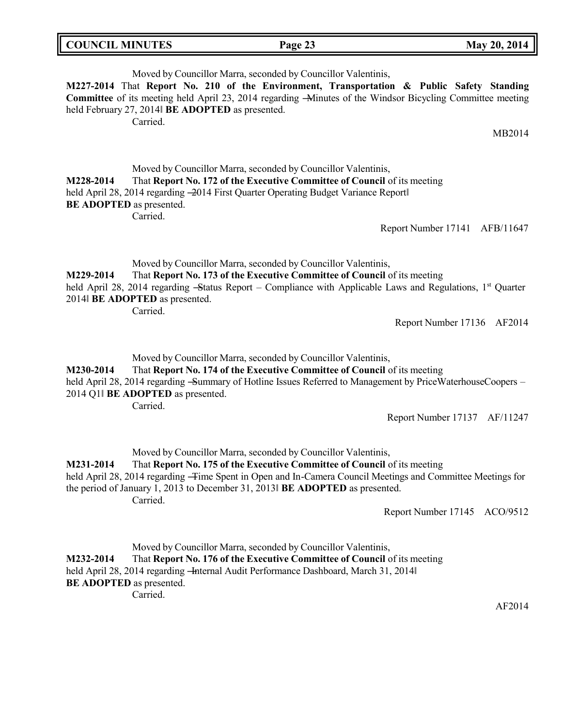| <b>COUNCIL MINUTES</b> | Page 23 | May 20, 2014 |
|------------------------|---------|--------------|
|                        |         |              |

|                  | Moved by Councillor Marra, seconded by Councillor Valentinis,<br>held February 27, 2014 BE ADOPTED as presented.<br>Carried.                                                                                                                                                                                                                                                   | M227-2014 That Report No. 210 of the Environment, Transportation & Public Safety Standing<br>Committee of its meeting held April 23, 2014 regarding -Minutes of the Windsor Bicycling Committee meeting |
|------------------|--------------------------------------------------------------------------------------------------------------------------------------------------------------------------------------------------------------------------------------------------------------------------------------------------------------------------------------------------------------------------------|---------------------------------------------------------------------------------------------------------------------------------------------------------------------------------------------------------|
|                  |                                                                                                                                                                                                                                                                                                                                                                                | MB2014                                                                                                                                                                                                  |
| <b>M228-2014</b> | Moved by Councillor Marra, seconded by Councillor Valentinis,<br>That Report No. 172 of the Executive Committee of Council of its meeting<br>held April 28, 2014 regarding -2014 First Quarter Operating Budget Variance Report<br><b>BE ADOPTED</b> as presented.<br>Carried.                                                                                                 | Report Number 17141 AFB/11647                                                                                                                                                                           |
| <b>M229-2014</b> | Moved by Councillor Marra, seconded by Councillor Valentinis,<br>That Report No. 173 of the Executive Committee of Council of its meeting<br>2014 BE ADOPTED as presented.<br>Carried.                                                                                                                                                                                         | held April 28, 2014 regarding -Status Report – Compliance with Applicable Laws and Regulations, $1st$ Quarter<br>Report Number 17136 AF2014                                                             |
| M230-2014        | Moved by Councillor Marra, seconded by Councillor Valentinis,<br>That Report No. 174 of the Executive Committee of Council of its meeting<br>$1.11$ $\lambda$ $1.00$ $0.01$ $1'$ $0$ $0$ $0.01$ $1'$ $0.00$ $0.1$ $1'$ $0.00$ $0.01$ $1'$ $0.00$ $0.01$ $1'$ $0.00$ $0.01$ $1'$ $0.00$ $0.001$ $0.000$ $0.000$ $0.000$ $0.000$ $0.000$ $0.000$ $0.000$ $0.000$ $0.000$ $0.000$ | $\mathbf{1}$ n $\mathbf{1}$ $\mathbf{1}$                                                                                                                                                                |

held April 28, 2014 regarding -Summary of Hotline Issues Referred to Management by PriceWaterhouseCoopers – 2014 Q1‖ **BE ADOPTED** as presented.

Carried.

Report Number 17137 AF/11247

Moved by Councillor Marra, seconded by Councillor Valentinis, **M231-2014** That **Report No. 175 of the Executive Committee of Council** of its meeting held April 28, 2014 regarding - Time Spent in Open and In-Camera Council Meetings and Committee Meetings for the period of January 1, 2013 to December 31, 2013‖ **BE ADOPTED** as presented. Carried.

Report Number 17145 ACO/9512

Moved by Councillor Marra, seconded by Councillor Valentinis, **M232-2014** That **Report No. 176 of the Executive Committee of Council** of its meeting held April 28, 2014 regarding - Internal Audit Performance Dashboard, March 31, 2014 **BE ADOPTED** as presented. Carried.

AF2014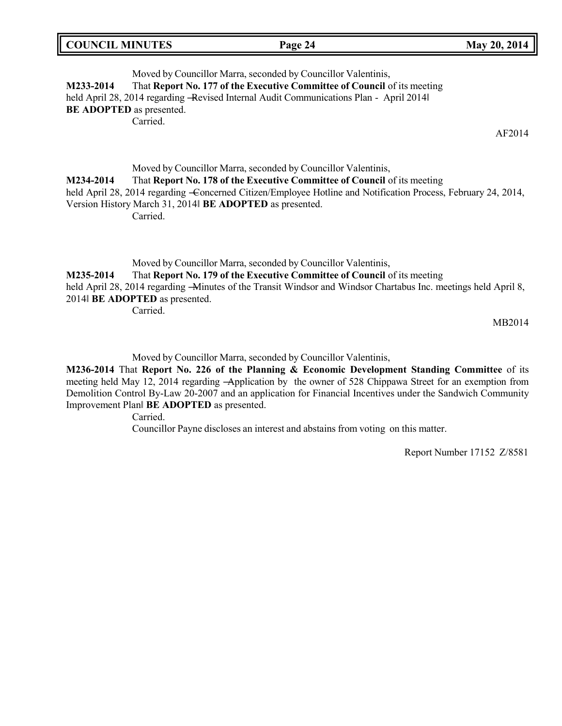Moved by Councillor Marra, seconded by Councillor Valentinis, **M233-2014** That **Report No. 177 of the Executive Committee of Council** of its meeting held April 28, 2014 regarding -Revised Internal Audit Communications Plan - April 2014 **BE ADOPTED** as presented. Carried.

AF2014

Moved by Councillor Marra, seconded by Councillor Valentinis, **M234-2014** That **Report No. 178 of the Executive Committee of Council** of its meeting held April 28, 2014 regarding -Concerned Citizen/Employee Hotline and Notification Process, February 24, 2014, Version History March 31, 2014‖ **BE ADOPTED** as presented. Carried.

Moved by Councillor Marra, seconded by Councillor Valentinis,

**M235-2014** That **Report No. 179 of the Executive Committee of Council** of its meeting held April 28, 2014 regarding -Minutes of the Transit Windsor and Windsor Chartabus Inc. meetings held April 8, 2014‖ **BE ADOPTED** as presented.

Carried.

MB2014

Moved by Councillor Marra, seconded by Councillor Valentinis,

**M236-2014** That **Report No. 226 of the Planning & Economic Development Standing Committee** of its meeting held May 12, 2014 regarding -Application by the owner of 528 Chippawa Street for an exemption from Demolition Control By-Law 20-2007 and an application for Financial Incentives under the Sandwich Community Improvement Plan‖ **BE ADOPTED** as presented.

Carried.

Councillor Payne discloses an interest and abstains from voting on this matter.

Report Number 17152 Z/8581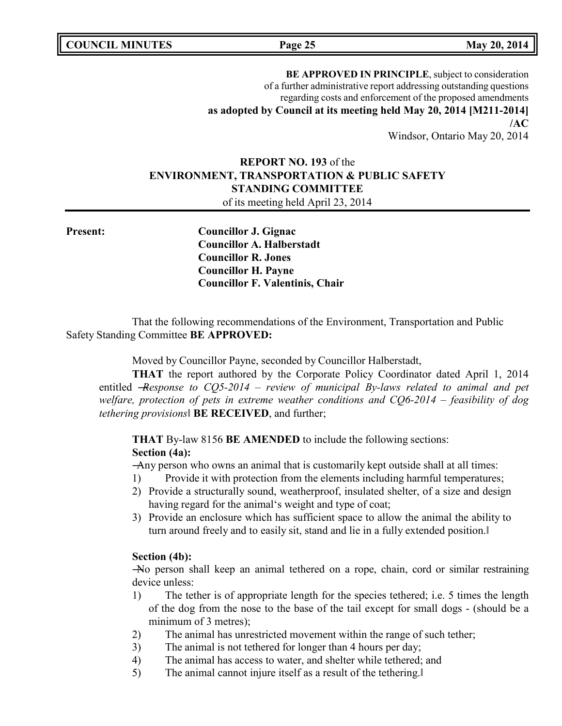**COUNCIL MINUTES Page 25 May 20, 2014**

**BE APPROVED IN PRINCIPLE**, subject to consideration of a further administrative report addressing outstanding questions regarding costs and enforcement of the proposed amendments **as adopted by Council at its meeting held May 20, 2014 [M211-2014] /AC** Windsor, Ontario May 20, 2014

# **REPORT NO. 193** of the **ENVIRONMENT, TRANSPORTATION & PUBLIC SAFETY STANDING COMMITTEE** of its meeting held April 23, 2014

**Present: Councillor J. Gignac Councillor A. Halberstadt Councillor R. Jones Councillor H. Payne Councillor F. Valentinis, Chair**

That the following recommendations of the Environment, Transportation and Public Safety Standing Committee **BE APPROVED:**

Moved by Councillor Payne, seconded by Councillor Halberstadt,

**THAT** the report authored by the Corporate Policy Coordinator dated April 1, 2014 entitled ―*Response to CQ5-2014 – review of municipal By-laws related to animal and pet welfare, protection of pets in extreme weather conditions and CQ6-2014 – feasibility of dog tethering provisions*‖ **BE RECEIVED**, and further;

**THAT** By-law 8156 **BE AMENDED** to include the following sections: **Section (4a):**

―Any person who owns an animal that is customarily kept outside shall at all times:

- 1) Provide it with protection from the elements including harmful temperatures;
- 2) Provide a structurally sound, weatherproof, insulated shelter, of a size and design having regard for the animal's weight and type of coat;
- 3) Provide an enclosure which has sufficient space to allow the animal the ability to turn around freely and to easily sit, stand and lie in a fully extended position.‖

### **Section (4b):**

―No person shall keep an animal tethered on a rope, chain, cord or similar restraining device unless:

- 1) The tether is of appropriate length for the species tethered; i.e. 5 times the length of the dog from the nose to the base of the tail except for small dogs - (should be a minimum of 3 metres);
- 2) The animal has unrestricted movement within the range of such tether;
- 3) The animal is not tethered for longer than 4 hours per day;
- 4) The animal has access to water, and shelter while tethered; and
- 5) The animal cannot injure itself as a result of the tethering.‖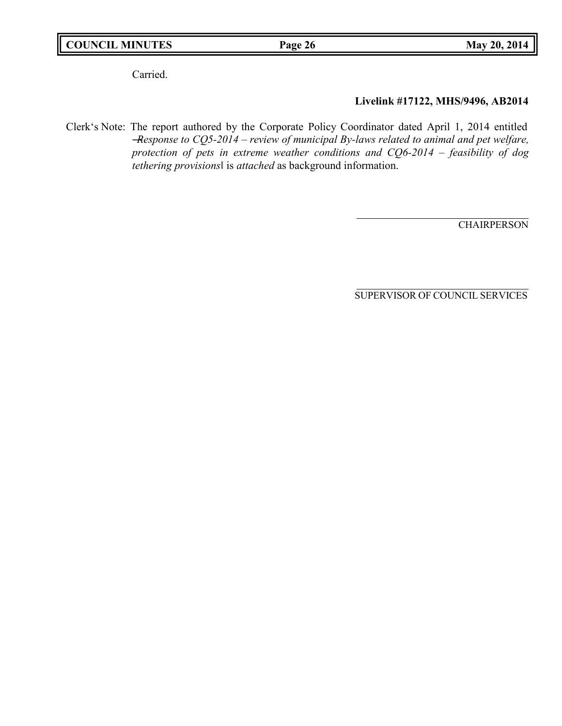# **COUNCIL MINUTES Page 26 May 20, 2014**

Carried.

# **Livelink #17122, MHS/9496, AB2014**

Clerk's Note: The report authored by the Corporate Policy Coordinator dated April 1, 2014 entitled ―*Response to CQ5-2014 – review of municipal By-laws related to animal and pet welfare, protection of pets in extreme weather conditions and CQ6-2014 – feasibility of dog tethering provisions*‖ is *attached* as background information.

**CHAIRPERSON**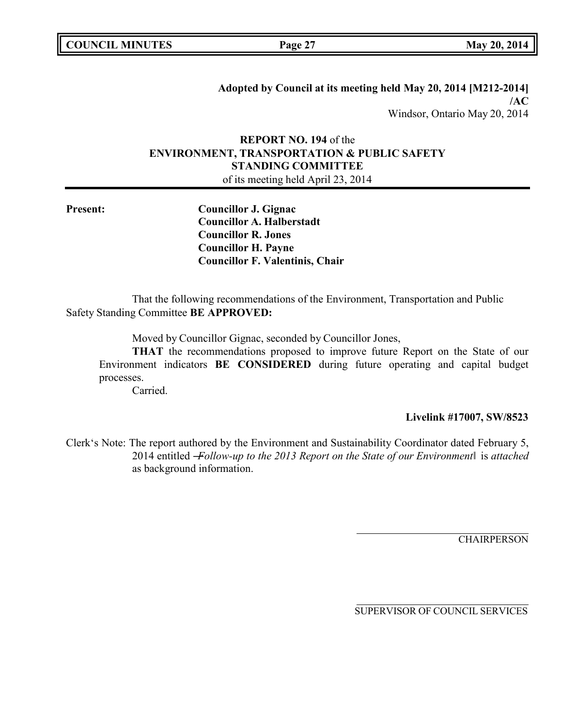**Adopted by Council at its meeting held May 20, 2014 [M212-2014] /AC** Windsor, Ontario May 20, 2014

# **REPORT NO. 194** of the **ENVIRONMENT, TRANSPORTATION & PUBLIC SAFETY STANDING COMMITTEE**

of its meeting held April 23, 2014

**Present: Councillor J. Gignac Councillor A. Halberstadt Councillor R. Jones Councillor H. Payne Councillor F. Valentinis, Chair**

That the following recommendations of the Environment, Transportation and Public Safety Standing Committee **BE APPROVED:**

Moved by Councillor Gignac, seconded by Councillor Jones,

**THAT** the recommendations proposed to improve future Report on the State of our Environment indicators **BE CONSIDERED** during future operating and capital budget processes.

Carried.

### **Livelink #17007, SW/8523**

Clerk's Note: The report authored by the Environment and Sustainability Coordinator dated February 5, 2014 entitled ―*Follow-up to the 2013 Report on the State of our Environment*‖ is *attached*  as background information.

**CHAIRPERSON**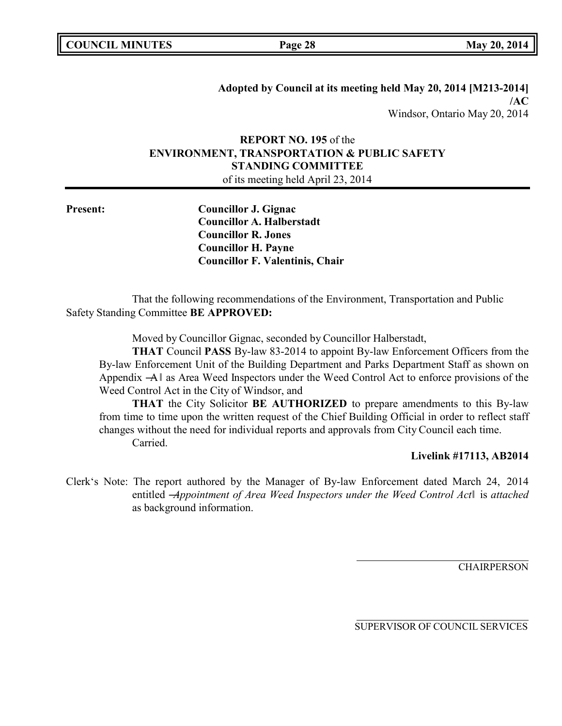**Adopted by Council at its meeting held May 20, 2014 [M213-2014] /AC** Windsor, Ontario May 20, 2014

# **REPORT NO. 195** of the **ENVIRONMENT, TRANSPORTATION & PUBLIC SAFETY STANDING COMMITTEE**

of its meeting held April 23, 2014

**Present: Councillor J. Gignac Councillor A. Halberstadt Councillor R. Jones Councillor H. Payne Councillor F. Valentinis, Chair**

That the following recommendations of the Environment, Transportation and Public Safety Standing Committee **BE APPROVED:**

Moved by Councillor Gignac, seconded by Councillor Halberstadt,

**THAT** Council **PASS** By-law 83-2014 to appoint By-law Enforcement Officers from the By-law Enforcement Unit of the Building Department and Parks Department Staff as shown on Appendix  $-A$  as Area Weed Inspectors under the Weed Control Act to enforce provisions of the Weed Control Act in the City of Windsor, and

**THAT** the City Solicitor **BE AUTHORIZED** to prepare amendments to this By-law from time to time upon the written request of the Chief Building Official in order to reflect staff changes without the need for individual reports and approvals from City Council each time. Carried.

### **Livelink #17113, AB2014**

Clerk's Note: The report authored by the Manager of By-law Enforcement dated March 24, 2014 entitled ―*Appointment of Area Weed Inspectors under the Weed Control Act*‖ is *attached*  as background information.

**CHAIRPERSON**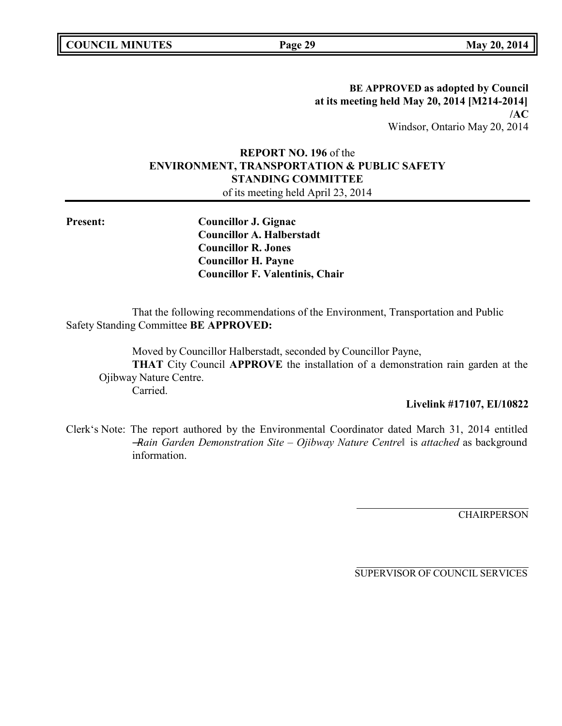**BE APPROVED as adopted by Council at its meeting held May 20, 2014 [M214-2014] /AC** Windsor, Ontario May 20, 2014

# **REPORT NO. 196** of the **ENVIRONMENT, TRANSPORTATION & PUBLIC SAFETY STANDING COMMITTEE**

of its meeting held April 23, 2014

**Present: Councillor J. Gignac Councillor A. Halberstadt Councillor R. Jones Councillor H. Payne Councillor F. Valentinis, Chair**

That the following recommendations of the Environment, Transportation and Public Safety Standing Committee **BE APPROVED:**

Moved by Councillor Halberstadt, seconded by Councillor Payne, **THAT** City Council **APPROVE** the installation of a demonstration rain garden at the Ojibway Nature Centre. Carried.

### **Livelink #17107, EI/10822**

Clerk's Note: The report authored by the Environmental Coordinator dated March 31, 2014 entitled ―*Rain Garden Demonstration Site – Ojibway Nature Centre*‖ is *attached* as background information.

**CHAIRPERSON**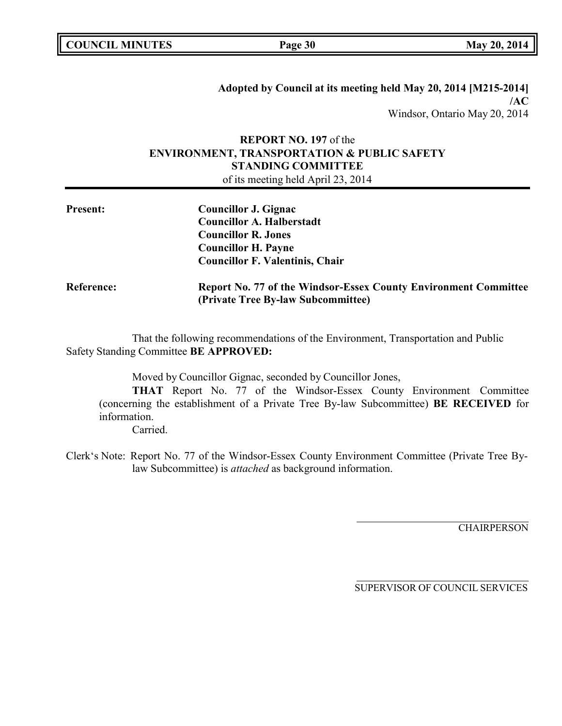**COUNCIL EXECUTE: COUNCIL EXECUTE: Page 30 May** 20, 2014

**Adopted by Council at its meeting held May 20, 2014 [M215-2014] /AC** Windsor, Ontario May 20, 2014

# **REPORT NO. 197** of the **ENVIRONMENT, TRANSPORTATION & PUBLIC SAFETY STANDING COMMITTEE** of its meeting held April 23, 2014

| <b>Present:</b> | Councillor J. Gignac<br><b>Councillor A. Halberstadt</b><br><b>Councillor R. Jones</b><br><b>Councillor H. Payne</b><br><b>Councillor F. Valentinis, Chair</b> |
|-----------------|----------------------------------------------------------------------------------------------------------------------------------------------------------------|
| Reference:      | <b>Report No. 77 of the Windsor-Essex County Environment Committee</b><br>(Private Tree By-law Subcommittee)                                                   |

That the following recommendations of the Environment, Transportation and Public Safety Standing Committee **BE APPROVED:**

Moved by Councillor Gignac, seconded by Councillor Jones,

**THAT** Report No. 77 of the Windsor-Essex County Environment Committee (concerning the establishment of a Private Tree By-law Subcommittee) **BE RECEIVED** for information.

Carried.

Clerk's Note: Report No. 77 of the Windsor-Essex County Environment Committee (Private Tree Bylaw Subcommittee) is *attached* as background information.

CHAIRPERSON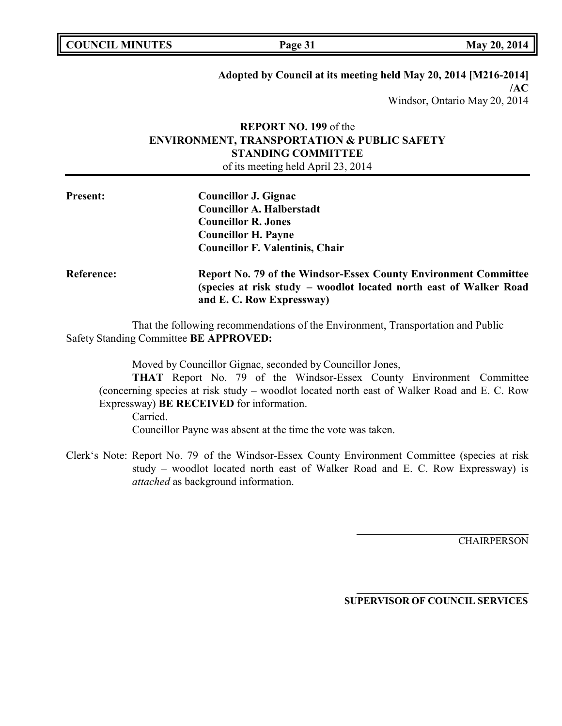| <b>COUNCIL MINUTES</b> |  |
|------------------------|--|
|------------------------|--|

**COUNCIL EXECUTE: Page 31 May** 20, 2014

## **Adopted by Council at its meeting held May 20, 2014 [M216-2014] /AC**

Windsor, Ontario May 20, 2014

# **REPORT NO. 199** of the **ENVIRONMENT, TRANSPORTATION & PUBLIC SAFETY STANDING COMMITTEE**

of its meeting held April 23, 2014

| <b>Present:</b>   | Councillor J. Gignac<br><b>Councillor A. Halberstadt</b><br><b>Councillor R. Jones</b><br><b>Councillor H. Payne</b><br><b>Councillor F. Valentinis, Chair</b>     |
|-------------------|--------------------------------------------------------------------------------------------------------------------------------------------------------------------|
| <b>Reference:</b> | Report No. 79 of the Windsor-Essex County Environment Committee<br>(species at risk study – woodlot located north east of Walker Road<br>and E. C. Row Expressway) |

That the following recommendations of the Environment, Transportation and Public Safety Standing Committee **BE APPROVED:**

Moved by Councillor Gignac, seconded by Councillor Jones,

**THAT** Report No. 79 of the Windsor-Essex County Environment Committee (concerning species at risk study – woodlot located north east of Walker Road and E. C. Row Expressway) **BE RECEIVED** for information.

Carried.

Councillor Payne was absent at the time the vote was taken.

Clerk's Note: Report No. 79 of the Windsor-Essex County Environment Committee (species at risk study – woodlot located north east of Walker Road and E. C. Row Expressway) is *attached* as background information.

**CHAIRPERSON**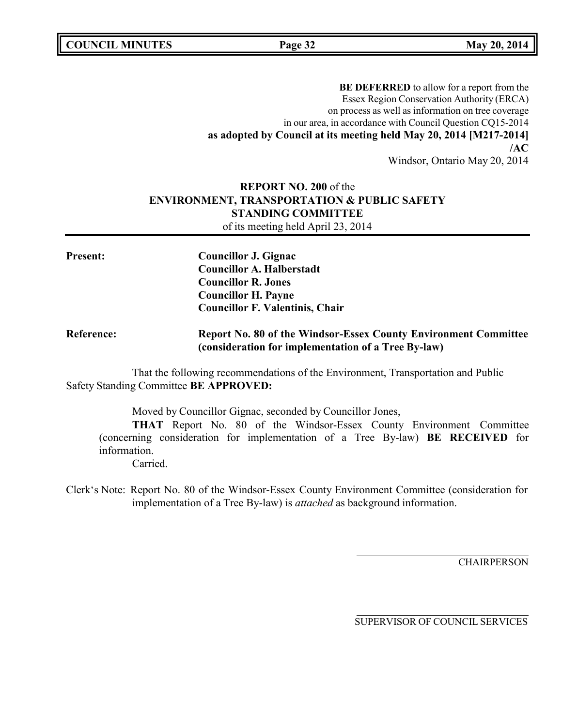**COUNCIL MINUTES Page 32 May 20, 2014**

**BE DEFERRED** to allow for a report from the Essex Region Conservation Authority (ERCA) on process as well as information on tree coverage in our area, in accordance with Council Question CQ15-2014 **as adopted by Council at its meeting held May 20, 2014 [M217-2014] /AC**

Windsor, Ontario May 20, 2014

# **REPORT NO. 200** of the **ENVIRONMENT, TRANSPORTATION & PUBLIC SAFETY STANDING COMMITTEE** of its meeting held April 23, 2014

**Present: Councillor J. Gignac Councillor A. Halberstadt Councillor R. Jones Councillor H. Payne Councillor F. Valentinis, Chair Reference: Report No. 80 of the Windsor-Essex County Environment Committee (consideration for implementation of a Tree By-law)**

That the following recommendations of the Environment, Transportation and Public Safety Standing Committee **BE APPROVED:**

Moved by Councillor Gignac, seconded by Councillor Jones,

**THAT** Report No. 80 of the Windsor-Essex County Environment Committee (concerning consideration for implementation of a Tree By-law) **BE RECEIVED** for information.

Carried.

Clerk's Note: Report No. 80 of the Windsor-Essex County Environment Committee (consideration for implementation of a Tree By-law) is *attached* as background information.

**CHAIRPERSON**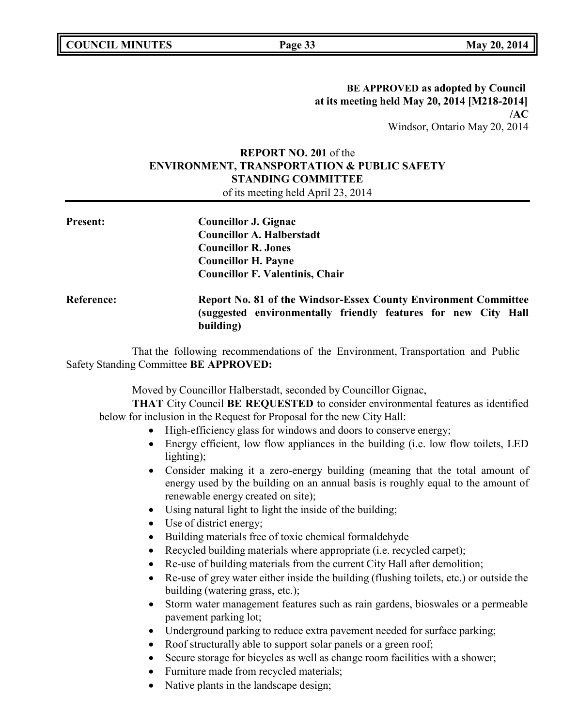# **BE APPROVED as adopted by Council at its meeting held May 20, 2014 [M218-2014] /AC** Windsor, Ontario May 20, 2014

# **REPORT NO. 201** of the **ENVIRONMENT, TRANSPORTATION & PUBLIC SAFETY STANDING COMMITTEE**

of its meeting held April 23, 2014

| <b>Present:</b>   | <b>Councillor J. Gignac</b><br><b>Councillor A. Halberstadt</b><br><b>Councillor R. Jones</b><br><b>Councillor H. Payne</b><br><b>Councillor F. Valentinis, Chair</b> |  |
|-------------------|-----------------------------------------------------------------------------------------------------------------------------------------------------------------------|--|
| <b>Reference:</b> | <b>Report No. 81 of the Windsor-Essex County Environment Committee</b><br>(suggested environmentally friendly features for new City Hall<br>building)                 |  |

That the following recommendations of the Environment, Transportation and Public Safety Standing Committee **BE APPROVED:**

Moved by Councillor Halberstadt, seconded by Councillor Gignac,

**THAT** City Council **BE REQUESTED** to consider environmental features as identified below for inclusion in the Request for Proposal for the new City Hall:

- High-efficiency glass for windows and doors to conserve energy;
- Energy efficient, low flow appliances in the building (i.e. low flow toilets, LED lighting);
- Consider making it a zero-energy building (meaning that the total amount of energy used by the building on an annual basis is roughly equal to the amount of renewable energy created on site);
- Using natural light to light the inside of the building;
- Use of district energy;
- Building materials free of toxic chemical formaldehyde
- Recycled building materials where appropriate (i.e. recycled carpet);
- Re-use of building materials from the current City Hall after demolition;
- Re-use of grey water either inside the building (flushing toilets, etc.) or outside the building (watering grass, etc.);
- Storm water management features such as rain gardens, bioswales or a permeable pavement parking lot;
- Underground parking to reduce extra pavement needed for surface parking;
- Roof structurally able to support solar panels or a green roof;
- Secure storage for bicycles as well as change room facilities with a shower;
- Furniture made from recycled materials;
- Native plants in the landscape design;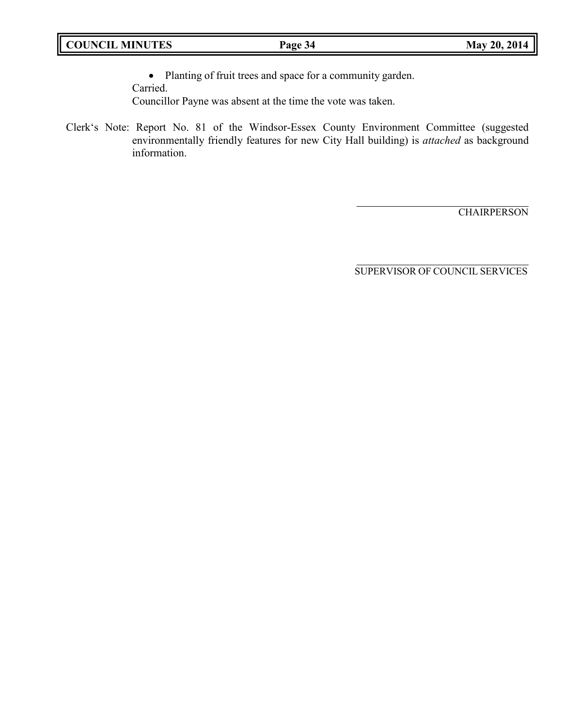• Planting of fruit trees and space for a community garden.

Carried.

Councillor Payne was absent at the time the vote was taken.

Clerk's Note: Report No. 81 of the Windsor-Essex County Environment Committee (suggested environmentally friendly features for new City Hall building) is *attached* as background information.

**CHAIRPERSON**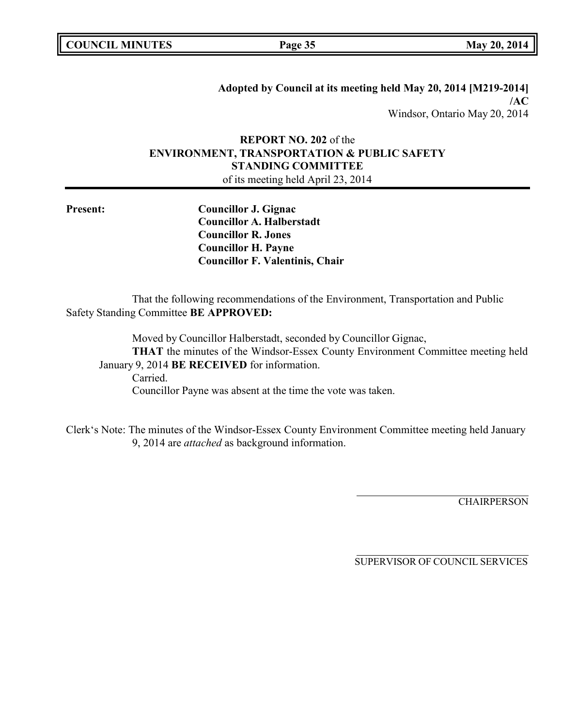**Adopted by Council at its meeting held May 20, 2014 [M219-2014] /AC** Windsor, Ontario May 20, 2014

## **REPORT NO. 202** of the **ENVIRONMENT, TRANSPORTATION & PUBLIC SAFETY STANDING COMMITTEE** of its meeting held April 23, 2014

**Present: Councillor J. Gignac Councillor A. Halberstadt Councillor R. Jones Councillor H. Payne Councillor F. Valentinis, Chair**

That the following recommendations of the Environment, Transportation and Public Safety Standing Committee **BE APPROVED:**

Moved by Councillor Halberstadt, seconded by Councillor Gignac, **THAT** the minutes of the Windsor-Essex County Environment Committee meeting held January 9, 2014 **BE RECEIVED** for information. Carried.

Councillor Payne was absent at the time the vote was taken.

Clerk's Note: The minutes of the Windsor-Essex County Environment Committee meeting held January 9, 2014 are *attached* as background information.

**CHAIRPERSON**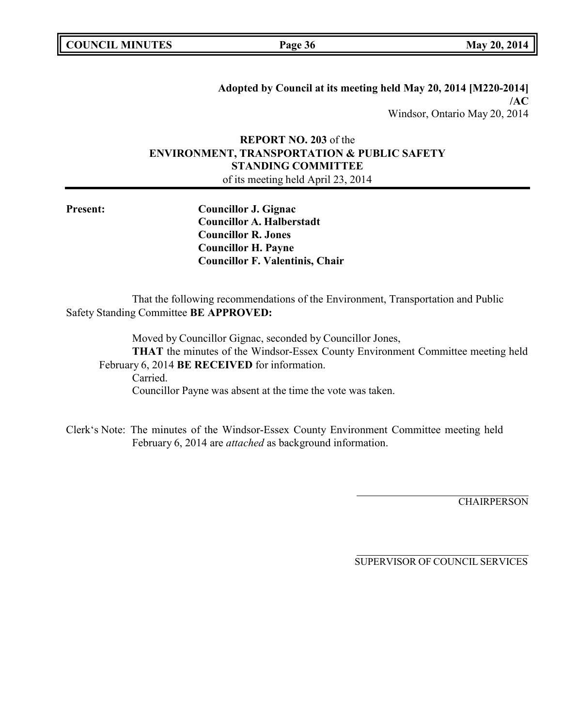| <b>COUNCIL MINUTES</b> |  |
|------------------------|--|
|------------------------|--|

**COUNCIL EXECUTE: COUNCIL EXECUTE: Page 36 May** 20, 2014

**Adopted by Council at its meeting held May 20, 2014 [M220-2014] /AC** Windsor, Ontario May 20, 2014

# **REPORT NO. 203** of the **ENVIRONMENT, TRANSPORTATION & PUBLIC SAFETY STANDING COMMITTEE**

of its meeting held April 23, 2014

**Present: Councillor J. Gignac Councillor A. Halberstadt Councillor R. Jones Councillor H. Payne Councillor F. Valentinis, Chair**

That the following recommendations of the Environment, Transportation and Public Safety Standing Committee **BE APPROVED:**

Moved by Councillor Gignac, seconded by Councillor Jones, **THAT** the minutes of the Windsor-Essex County Environment Committee meeting held February 6, 2014 **BE RECEIVED** for information. Carried. Councillor Payne was absent at the time the vote was taken.

Clerk's Note: The minutes of the Windsor-Essex County Environment Committee meeting held February 6, 2014 are *attached* as background information.

**CHAIRPERSON**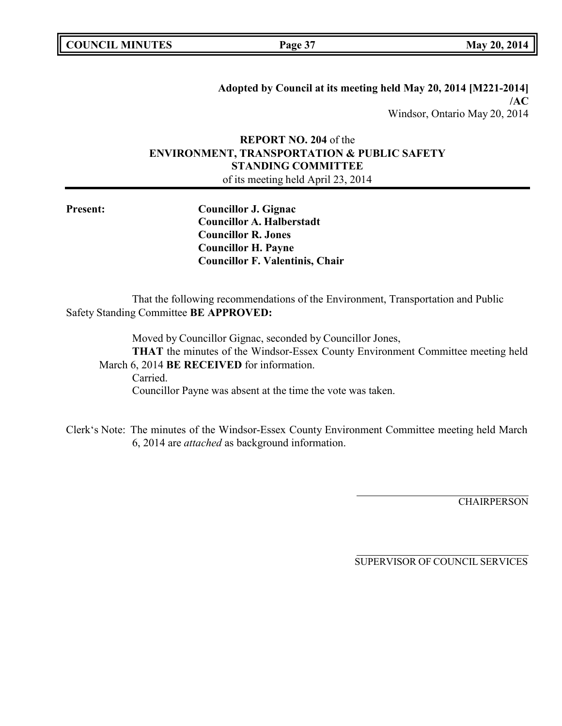**Adopted by Council at its meeting held May 20, 2014 [M221-2014] /AC** Windsor, Ontario May 20, 2014

# **REPORT NO. 204** of the **ENVIRONMENT, TRANSPORTATION & PUBLIC SAFETY STANDING COMMITTEE**

of its meeting held April 23, 2014

**Present: Councillor J. Gignac Councillor A. Halberstadt Councillor R. Jones Councillor H. Payne Councillor F. Valentinis, Chair**

That the following recommendations of the Environment, Transportation and Public Safety Standing Committee **BE APPROVED:**

Moved by Councillor Gignac, seconded by Councillor Jones, **THAT** the minutes of the Windsor-Essex County Environment Committee meeting held March 6, 2014 **BE RECEIVED** for information. Carried. Councillor Payne was absent at the time the vote was taken.

Clerk's Note: The minutes of the Windsor-Essex County Environment Committee meeting held March 6, 2014 are *attached* as background information.

**CHAIRPERSON**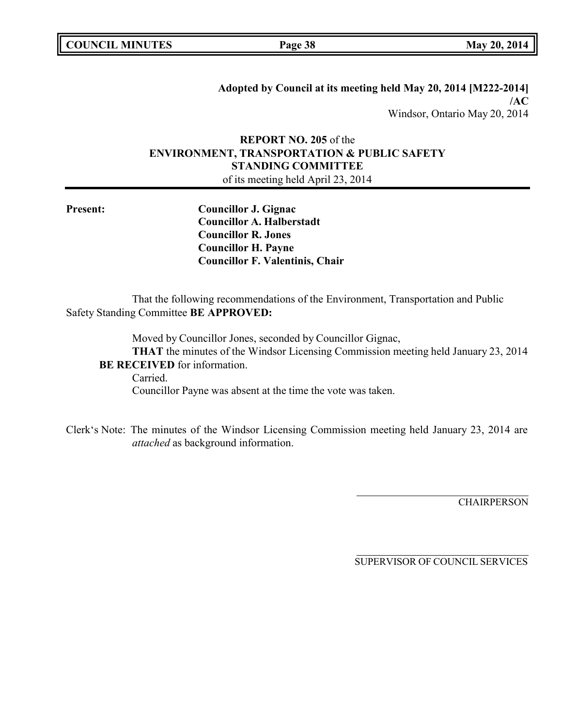| <b>COUNCIL MINUTES</b> |  |
|------------------------|--|
|------------------------|--|

**COUNCIL EXECUTE: COUNCIL EXECUTE: Page 38 May** 20, 2014

**Adopted by Council at its meeting held May 20, 2014 [M222-2014] /AC** Windsor, Ontario May 20, 2014

# **REPORT NO. 205** of the **ENVIRONMENT, TRANSPORTATION & PUBLIC SAFETY STANDING COMMITTEE**

of its meeting held April 23, 2014

**Present: Councillor J. Gignac Councillor A. Halberstadt Councillor R. Jones Councillor H. Payne Councillor F. Valentinis, Chair**

That the following recommendations of the Environment, Transportation and Public Safety Standing Committee **BE APPROVED:**

Moved by Councillor Jones, seconded by Councillor Gignac, **THAT** the minutes of the Windsor Licensing Commission meeting held January 23, 2014 **BE RECEIVED** for information.

Carried. Councillor Payne was absent at the time the vote was taken.

Clerk's Note: The minutes of the Windsor Licensing Commission meeting held January 23, 2014 are *attached* as background information.

**CHAIRPERSON**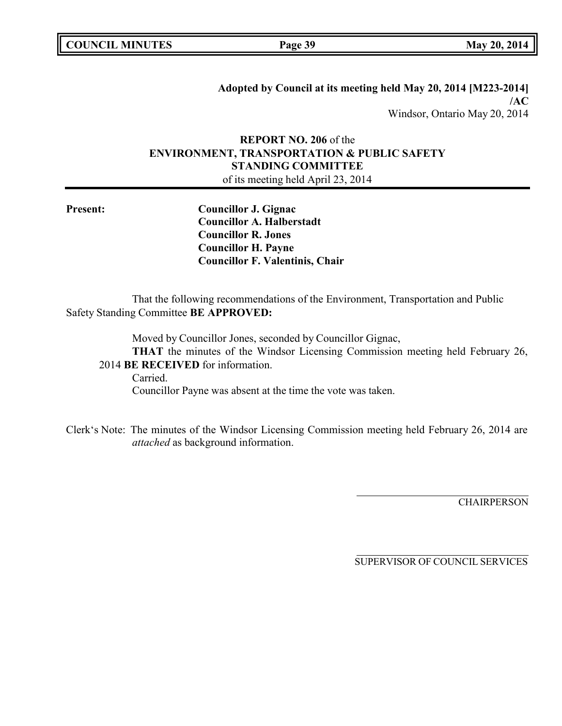**Adopted by Council at its meeting held May 20, 2014 [M223-2014] /AC** Windsor, Ontario May 20, 2014

# **REPORT NO. 206** of the **ENVIRONMENT, TRANSPORTATION & PUBLIC SAFETY STANDING COMMITTEE**

of its meeting held April 23, 2014

**Present: Councillor J. Gignac Councillor A. Halberstadt Councillor R. Jones Councillor H. Payne Councillor F. Valentinis, Chair**

That the following recommendations of the Environment, Transportation and Public Safety Standing Committee **BE APPROVED:**

Moved by Councillor Jones, seconded by Councillor Gignac,

**THAT** the minutes of the Windsor Licensing Commission meeting held February 26, 2014 **BE RECEIVED** for information.

Carried. Councillor Payne was absent at the time the vote was taken.

Clerk's Note: The minutes of the Windsor Licensing Commission meeting held February 26, 2014 are *attached* as background information.

**CHAIRPERSON**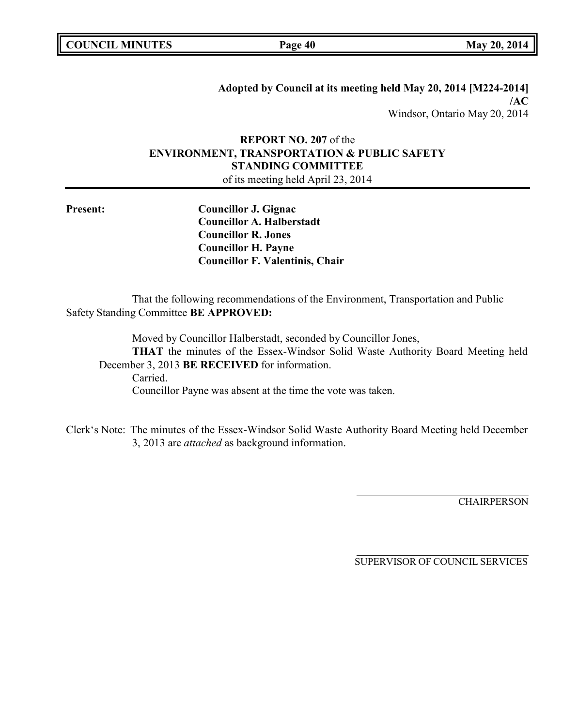| <b>COUNCIL MINUTES</b> |  |
|------------------------|--|
|------------------------|--|

**Adopted by Council at its meeting held May 20, 2014 [M224-2014] /AC** Windsor, Ontario May 20, 2014

## **REPORT NO. 207** of the **ENVIRONMENT, TRANSPORTATION & PUBLIC SAFETY STANDING COMMITTEE** of its meeting held April 23, 2014

**Present: Councillor J. Gignac Councillor A. Halberstadt Councillor R. Jones Councillor H. Payne Councillor F. Valentinis, Chair**

That the following recommendations of the Environment, Transportation and Public Safety Standing Committee **BE APPROVED:**

Moved by Councillor Halberstadt, seconded by Councillor Jones, **THAT** the minutes of the Essex-Windsor Solid Waste Authority Board Meeting held December 3, 2013 **BE RECEIVED** for information. Carried.

Councillor Payne was absent at the time the vote was taken.

Clerk's Note: The minutes of the Essex-Windsor Solid Waste Authority Board Meeting held December 3, 2013 are *attached* as background information.

**CHAIRPERSON**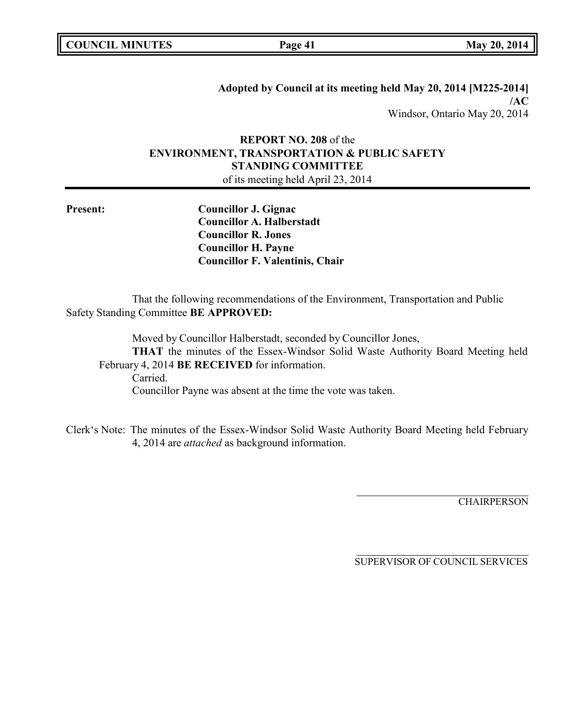| <b>COUNCIL MINUTES</b> |  |
|------------------------|--|
|------------------------|--|

**COUNCIL EXECUTE: COUNCIL EXECUTE: Page 41 May** 20, 2014

**Adopted by Council at its meeting held May 20, 2014 [M225-2014] /AC** Windsor, Ontario May 20, 2014

# **REPORT NO. 208** of the **ENVIRONMENT, TRANSPORTATION & PUBLIC SAFETY STANDING COMMITTEE**

of its meeting held April 23, 2014

**Present: Councillor J. Gignac Councillor A. Halberstadt Councillor R. Jones Councillor H. Payne Councillor F. Valentinis, Chair**

That the following recommendations of the Environment, Transportation and Public Safety Standing Committee **BE APPROVED:**

Moved by Councillor Halberstadt, seconded by Councillor Jones, **THAT** the minutes of the Essex-Windsor Solid Waste Authority Board Meeting held February 4, 2014 **BE RECEIVED** for information. Carried.

Councillor Payne was absent at the time the vote was taken.

Clerk's Note: The minutes of the Essex-Windsor Solid Waste Authority Board Meeting held February 4, 2014 are *attached* as background information.

**CHAIRPERSON**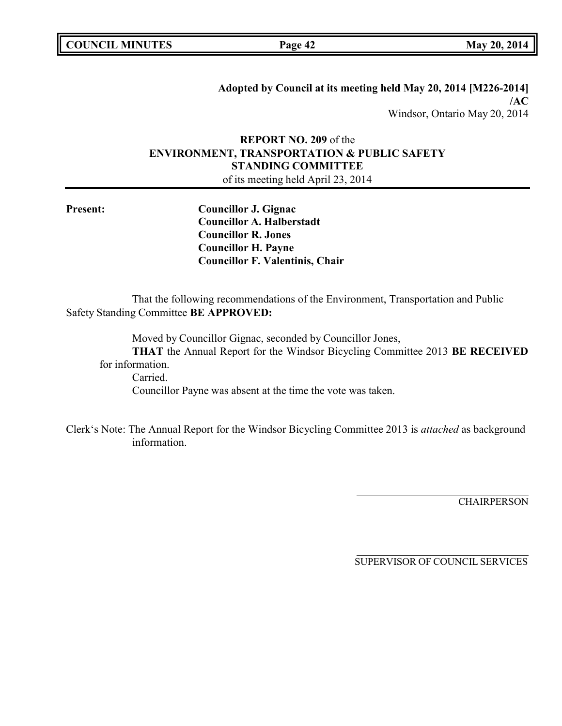|  | <b>COUNCIL MINUTES</b> |
|--|------------------------|
|--|------------------------|

**COUNCIL EXECUTE: COUNCIL EXECUTE: Page 42 May** 20, 2014

**Adopted by Council at its meeting held May 20, 2014 [M226-2014] /AC** Windsor, Ontario May 20, 2014

# **REPORT NO. 209** of the **ENVIRONMENT, TRANSPORTATION & PUBLIC SAFETY STANDING COMMITTEE**

of its meeting held April 23, 2014

**Present: Councillor J. Gignac Councillor A. Halberstadt Councillor R. Jones Councillor H. Payne Councillor F. Valentinis, Chair**

That the following recommendations of the Environment, Transportation and Public Safety Standing Committee **BE APPROVED:**

Moved by Councillor Gignac, seconded by Councillor Jones, **THAT** the Annual Report for the Windsor Bicycling Committee 2013 **BE RECEIVED** for information. Carried. Councillor Payne was absent at the time the vote was taken.

Clerk's Note: The Annual Report for the Windsor Bicycling Committee 2013 is *attached* as background information.

CHAIRPERSON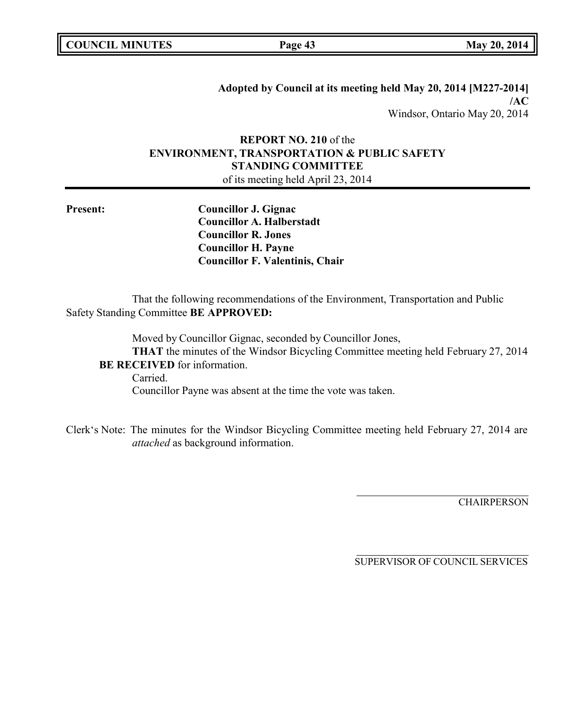| <b>COUNCIL MINUTES</b> |  |
|------------------------|--|
|------------------------|--|

**COUNCIL EXECUTE: Page 43 May** 20, 2014

**Adopted by Council at its meeting held May 20, 2014 [M227-2014] /AC** Windsor, Ontario May 20, 2014

# **REPORT NO. 210** of the **ENVIRONMENT, TRANSPORTATION & PUBLIC SAFETY STANDING COMMITTEE**

of its meeting held April 23, 2014

**Present: Councillor J. Gignac Councillor A. Halberstadt Councillor R. Jones Councillor H. Payne Councillor F. Valentinis, Chair**

That the following recommendations of the Environment, Transportation and Public Safety Standing Committee **BE APPROVED:**

Moved by Councillor Gignac, seconded by Councillor Jones, **THAT** the minutes of the Windsor Bicycling Committee meeting held February 27, 2014 **BE RECEIVED** for information.

Carried. Councillor Payne was absent at the time the vote was taken.

Clerk's Note: The minutes for the Windsor Bicycling Committee meeting held February 27, 2014 are *attached* as background information.

**CHAIRPERSON**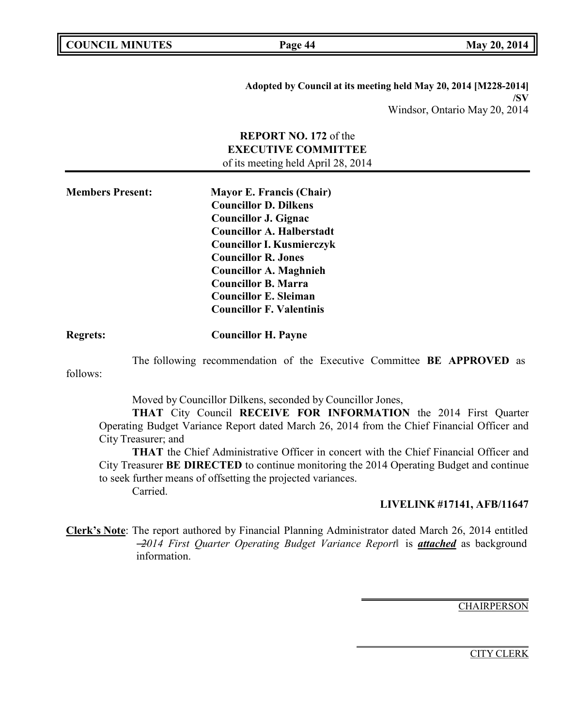|  | <b>COUNCIL MINUTES</b> |
|--|------------------------|
|--|------------------------|

**COUNCIL EXECUTE: COUNCIL EXECUTE: Page 44 May** 20, 2014

**Adopted by Council at its meeting held May 20, 2014 [M228-2014] /SV** Windsor, Ontario May 20, 2014

# **REPORT NO. 172** of the **EXECUTIVE COMMITTEE** of its meeting held April 28, 2014

**Members Present: Mayor E. Francis (Chair) Councillor D. Dilkens Councillor J. Gignac Councillor A. Halberstadt Councillor I. Kusmierczyk Councillor R. Jones Councillor A. Maghnieh Councillor B. Marra Councillor E. Sleiman Councillor F. Valentinis**

follows:

**Regrets: Councillor H. Payne**

The following recommendation of the Executive Committee **BE APPROVED** as

Moved by Councillor Dilkens, seconded by Councillor Jones,

**THAT** City Council **RECEIVE FOR INFORMATION** the 2014 First Quarter Operating Budget Variance Report dated March 26, 2014 from the Chief Financial Officer and City Treasurer; and

**THAT** the Chief Administrative Officer in concert with the Chief Financial Officer and City Treasurer **BE DIRECTED** to continue monitoring the 2014 Operating Budget and continue to seek further means of offsetting the projected variances. Carried.

**LIVELINK #17141, AFB/11647**

**Clerk's Note**: The report authored by Financial Planning Administrator dated March 26, 2014 entitled ―*2014 First Quarter Operating Budget Variance Report*‖ is *attached* as background information.

**CHAIRPERSON**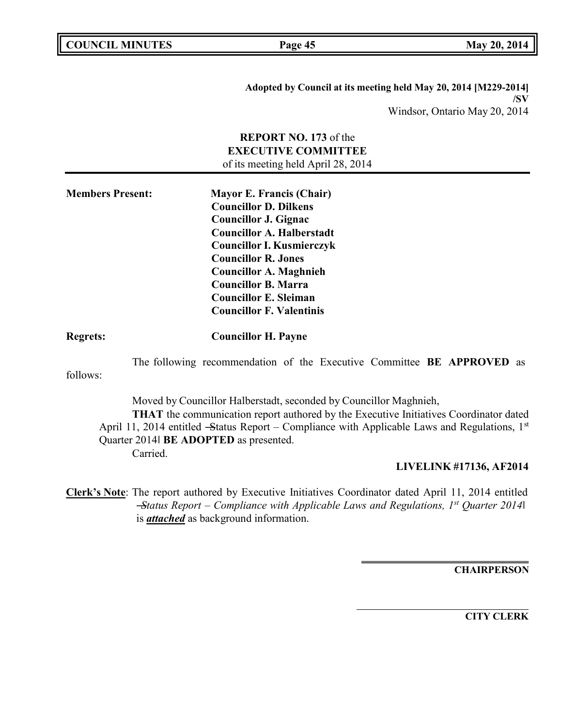| <b>COUNCIL MINUTES</b> |  |
|------------------------|--|
|------------------------|--|

**Page 45 May** 20, 2014

**Adopted by Council at its meeting held May 20, 2014 [M229-2014] /SV** Windsor, Ontario May 20, 2014

|                         | <b>REPORT NO. 173</b> of the<br><b>EXECUTIVE COMMITTEE</b><br>of its meeting held April 28, 2014                                                                                                                                                                                                                                       |
|-------------------------|----------------------------------------------------------------------------------------------------------------------------------------------------------------------------------------------------------------------------------------------------------------------------------------------------------------------------------------|
| <b>Members Present:</b> | <b>Mayor E. Francis (Chair)</b><br><b>Councillor D. Dilkens</b><br><b>Councillor J. Gignac</b><br><b>Councillor A. Halberstadt</b><br><b>Councillor I. Kusmierczyk</b><br><b>Councillor R. Jones</b><br><b>Councillor A. Maghnieh</b><br><b>Councillor B. Marra</b><br><b>Councillor E. Sleiman</b><br><b>Councillor F. Valentinis</b> |
| <b>Regrets:</b>         | <b>Councillor H. Payne</b>                                                                                                                                                                                                                                                                                                             |
| follows:                | The following recommendation of the Executive Committee BE APPROVED as                                                                                                                                                                                                                                                                 |
| Carried.                | Moved by Councillor Halberstadt, seconded by Councillor Maghnieh,<br><b>THAT</b> the communication report authored by the Executive Initiatives Coordinator dated<br>April 11, 2014 entitled -Status Report - Compliance with Applicable Laws and Regulations, 1st<br>Quarter 2014 BE ADOPTED as presented.                            |
|                         | LIVELINK #17136, AF2014                                                                                                                                                                                                                                                                                                                |
|                         | Clerk's Note: The report authored by Executive Initiatives Coordinator dated April 11, 2014 entitled<br>-Status Report – Compliance with Applicable Laws and Regulations, $I^{st}$ Quarter 2014<br>is <i>attached</i> as background information.                                                                                       |

**CHAIRPERSON**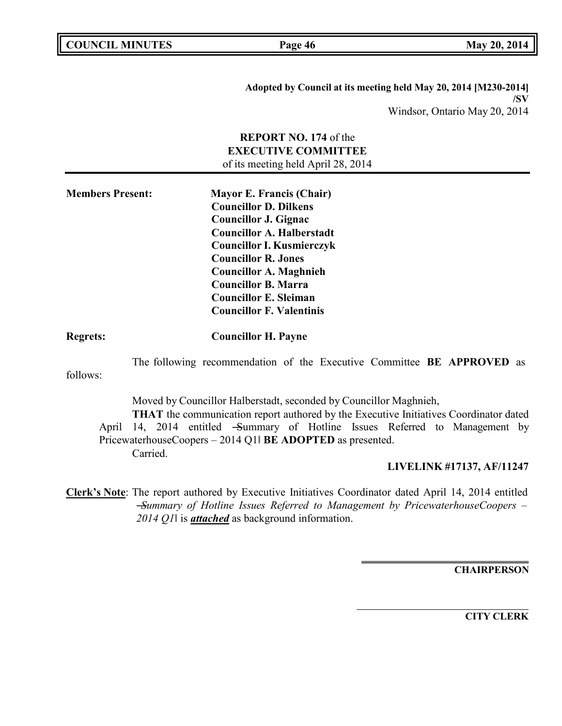| <b>COUNCIL MINUTES</b> |  |
|------------------------|--|
|------------------------|--|

**Page 46 May** 20, 2014

**Adopted by Council at its meeting held May 20, 2014 [M230-2014] /SV** Windsor, Ontario May 20, 2014

|                                                                                                                                                                                                                                                                                                                                                                   | <b>REPORT NO. 174 of the</b><br><b>EXECUTIVE COMMITTEE</b><br>of its meeting held April 28, 2014                                                                                                                                                 |  |
|-------------------------------------------------------------------------------------------------------------------------------------------------------------------------------------------------------------------------------------------------------------------------------------------------------------------------------------------------------------------|--------------------------------------------------------------------------------------------------------------------------------------------------------------------------------------------------------------------------------------------------|--|
| <b>Members Present:</b><br><b>Mayor E. Francis (Chair)</b><br><b>Councillor D. Dilkens</b><br><b>Councillor J. Gignac</b><br><b>Councillor A. Halberstadt</b><br><b>Councillor I. Kusmierczyk</b><br><b>Councillor R. Jones</b><br><b>Councillor A. Maghnieh</b><br><b>Councillor B. Marra</b><br><b>Councillor E. Sleiman</b><br><b>Councillor F. Valentinis</b> |                                                                                                                                                                                                                                                  |  |
| <b>Regrets:</b>                                                                                                                                                                                                                                                                                                                                                   | <b>Councillor H. Payne</b>                                                                                                                                                                                                                       |  |
| follows:                                                                                                                                                                                                                                                                                                                                                          | The following recommendation of the Executive Committee BE APPROVED as                                                                                                                                                                           |  |
| Moved by Councillor Halberstadt, seconded by Councillor Maghnieh,<br>THAT the communication report authored by the Executive Initiatives Coordinator dated<br>14, 2014 entitled -Summary of Hotline Issues Referred to Management by<br>April<br>PricewaterhouseCoopers - 2014 Q1  BE ADOPTED as presented.<br>Carried.                                           |                                                                                                                                                                                                                                                  |  |
|                                                                                                                                                                                                                                                                                                                                                                   | LIVELINK #17137, AF/11247                                                                                                                                                                                                                        |  |
|                                                                                                                                                                                                                                                                                                                                                                   | Clerk's Note: The report authored by Executive Initiatives Coordinator dated April 14, 2014 entitled<br>$-Summary$ of Hotline Issues Referred to Management by PricewaterhouseCoopers –<br>2014 Q1 is <b>attached</b> as background information. |  |

**CHAIRPERSON**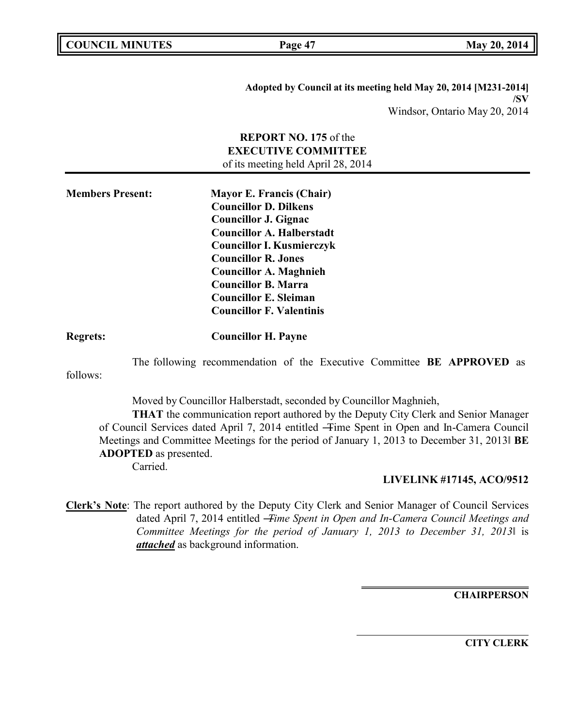**COUNCIL EXECUTE: COUNCIL EXECUTE: Page 47 May** 20, 2014

**Adopted by Council at its meeting held May 20, 2014 [M231-2014] /SV** Windsor, Ontario May 20, 2014

# **REPORT NO. 175** of the **EXECUTIVE COMMITTEE** of its meeting held April 28, 2014 **Members Present: Mayor E. Francis (Chair) Councillor D. Dilkens Councillor J. Gignac Councillor A. Halberstadt Councillor I. Kusmierczyk Councillor R. Jones Councillor A. Maghnieh Councillor B. Marra Councillor E. Sleiman Councillor F. Valentinis Regrets: Councillor H. Payne** The following recommendation of the Executive Committee **BE APPROVED** as follows: Moved by Councillor Halberstadt, seconded by Councillor Maghnieh, **THAT** the communication report authored by the Deputy City Clerk and Senior Manager of Council Services dated April 7, 2014 entitled ―Time Spent in Open and In-Camera Council Meetings and Committee Meetings for the period of January 1, 2013 to December 31, 2013‖ **BE ADOPTED** as presented. Carried. **LIVELINK #17145, ACO/9512 Clerk's Note**: The report authored by the Deputy City Clerk and Senior Manager of Council Services

dated April 7, 2014 entitled ―*Time Spent in Open and In-Camera Council Meetings and Committee Meetings for the period of January 1, 2013 to December 31, 2013*‖ is *attached* as background information.

**CHAIRPERSON**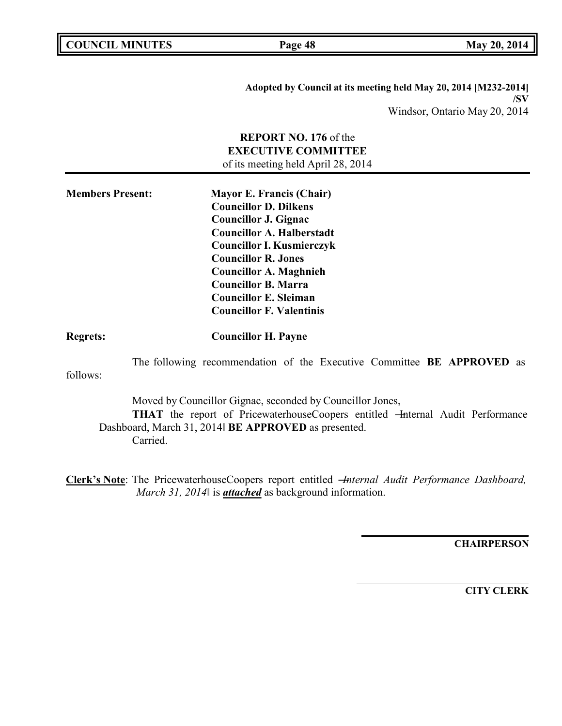| <b>COUNCIL MINUTES</b> |  |
|------------------------|--|
|------------------------|--|

**Page 48 May** 20, 2014

**Adopted by Council at its meeting held May 20, 2014 [M232-2014] /SV** Windsor, Ontario May 20, 2014

|                         | <b>REPORT NO. 176 of the</b><br><b>EXECUTIVE COMMITTEE</b><br>of its meeting held April 28, 2014                                                                                                                                                                                                                                       |
|-------------------------|----------------------------------------------------------------------------------------------------------------------------------------------------------------------------------------------------------------------------------------------------------------------------------------------------------------------------------------|
| <b>Members Present:</b> | <b>Mayor E. Francis (Chair)</b><br><b>Councillor D. Dilkens</b><br><b>Councillor J. Gignac</b><br><b>Councillor A. Halberstadt</b><br><b>Councillor I. Kusmierczyk</b><br><b>Councillor R. Jones</b><br><b>Councillor A. Maghnieh</b><br><b>Councillor B. Marra</b><br><b>Councillor E. Sleiman</b><br><b>Councillor F. Valentinis</b> |
| <b>Regrets:</b>         | <b>Councillor H. Payne</b>                                                                                                                                                                                                                                                                                                             |
| follows:                | The following recommendation of the Executive Committee BE APPROVED as                                                                                                                                                                                                                                                                 |
|                         | Moved by Councillor Gignac, seconded by Councillor Jones,<br>THAT the report of PricewaterhouseCoopers entitled - Internal Audit Performance<br>Dashboard, March 31, 2014  BE APPROVED as presented.<br>Carried.                                                                                                                       |
|                         | Clerk's Note: The PricewaterhouseCoopers report entitled <i>Internal Audit Performance Dashboard</i> ,<br>March 31, 2014 is <i>attached</i> as background information.                                                                                                                                                                 |

**CHAIRPERSON**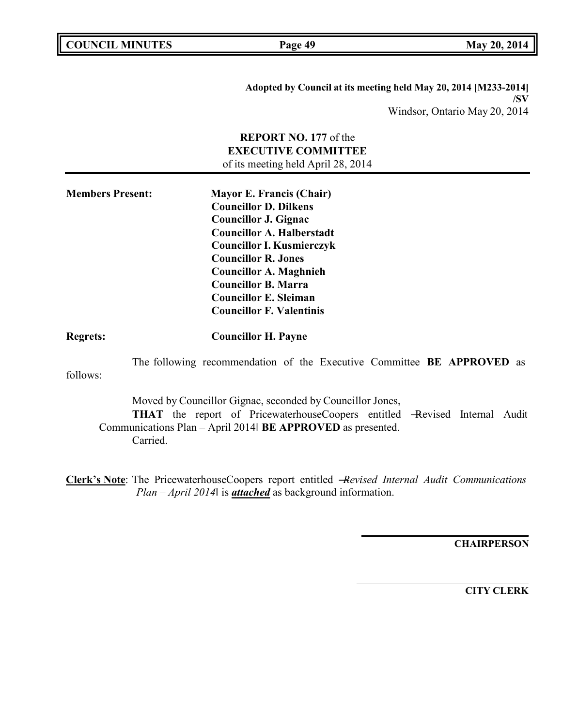| <b>COUNCIL MINUTES</b> |  |
|------------------------|--|
|------------------------|--|

**COUNCIL EXECUTE: Page 49 May** 20, 2014

**Adopted by Council at its meeting held May 20, 2014 [M233-2014] /SV** Windsor, Ontario May 20, 2014

|                         | <b>REPORT NO. 177 of the</b><br><b>EXECUTIVE COMMITTEE</b><br>of its meeting held April 28, 2014                                                                                                                                                                                                                                       |
|-------------------------|----------------------------------------------------------------------------------------------------------------------------------------------------------------------------------------------------------------------------------------------------------------------------------------------------------------------------------------|
| <b>Members Present:</b> | <b>Mayor E. Francis (Chair)</b><br><b>Councillor D. Dilkens</b><br><b>Councillor J. Gignac</b><br><b>Councillor A. Halberstadt</b><br><b>Councillor I. Kusmierczyk</b><br><b>Councillor R. Jones</b><br><b>Councillor A. Maghnieh</b><br><b>Councillor B. Marra</b><br><b>Councillor E. Sleiman</b><br><b>Councillor F. Valentinis</b> |
| <b>Regrets:</b>         | <b>Councillor H. Payne</b>                                                                                                                                                                                                                                                                                                             |
| follows:                | The following recommendation of the Executive Committee BE APPROVED as                                                                                                                                                                                                                                                                 |
|                         | Moved by Councillor Gignac, seconded by Councillor Jones,<br>THAT the report of PricewaterhouseCoopers entitled -Revised Internal Audit<br>Communications Plan - April 2014 BE APPROVED as presented.<br>Carried.                                                                                                                      |
|                         | Clerk's Note: The PricewaterhouseCoopers report entitled -Revised Internal Audit Communications<br>$Plan - April 2014$ is <b>attached</b> as background information.                                                                                                                                                                   |

**CHAIRPERSON**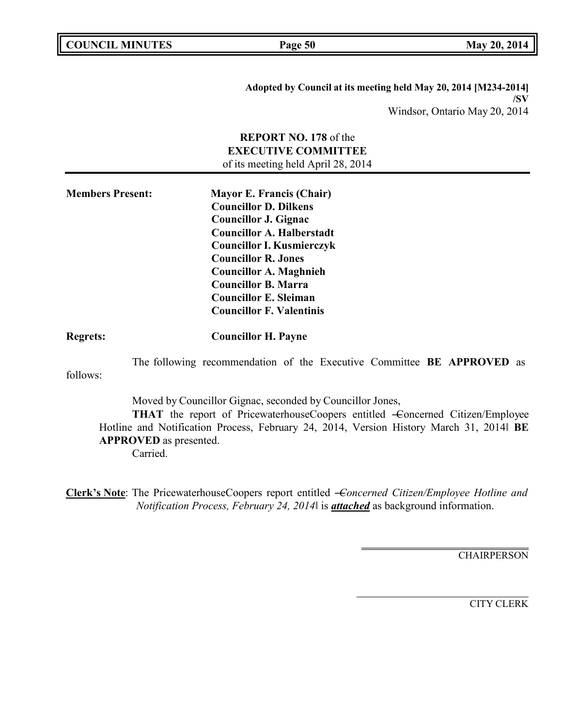| <b>COUNCIL MINUTES</b> |  |
|------------------------|--|
|------------------------|--|

**COUNCIL EXECUTE: COUNCIL EXECUTE: Page 50 May** 20, 2014

**Adopted by Council at its meeting held May 20, 2014 [M234-2014] /SV** Windsor, Ontario May 20, 2014

# **REPORT NO. 178** of the **EXECUTIVE COMMITTEE** of its meeting held April 28, 2014 **Members Present: Mayor E. Francis (Chair) Councillor D. Dilkens Councillor J. Gignac Councillor A. Halberstadt Councillor I. Kusmierczyk Councillor R. Jones Councillor A. Maghnieh Councillor B. Marra Councillor E. Sleiman Councillor F. Valentinis Regrets: Councillor H. Payne** The following recommendation of the Executive Committee **BE APPROVED** as follows: Moved by Councillor Gignac, seconded by Councillor Jones, **THAT** the report of PricewaterhouseCoopers entitled –Concerned Citizen/Employee Hotline and Notification Process, February 24, 2014, Version History March 31, 2014‖ **BE APPROVED** as presented. Carried.

**Clerk's Note**: The PricewaterhouseCoopers report entitled ―*Concerned Citizen/Employee Hotline and Notification Process, February 24, 2014*‖ is *attached* as background information.

**CHAIRPERSON**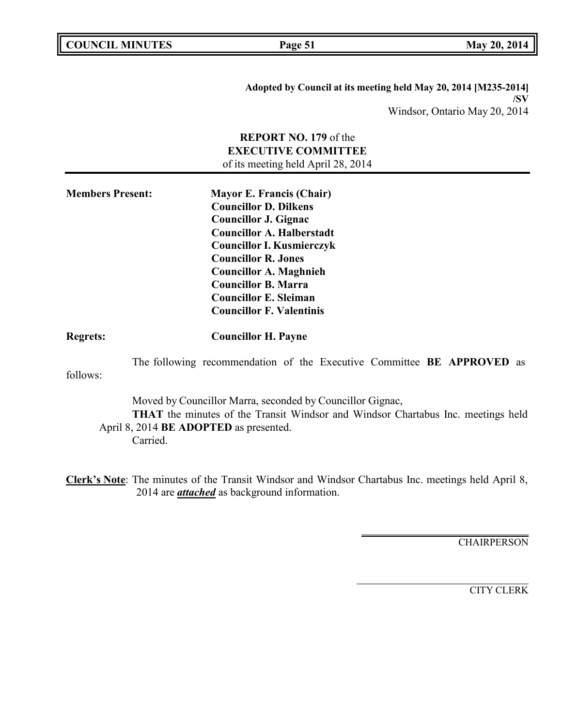| <b>COUNCIL MINUTES</b> |  |
|------------------------|--|
|------------------------|--|

**Page 51 May** 20, 2014

**Adopted by Council at its meeting held May 20, 2014 [M235-2014] /SV** Windsor, Ontario May 20, 2014

|                                                                                                                                                                                                            | <b>REPORT NO. 179</b> of the<br><b>EXECUTIVE COMMITTEE</b><br>of its meeting held April 28, 2014                                                                                                                                                                                                                                       |  |
|------------------------------------------------------------------------------------------------------------------------------------------------------------------------------------------------------------|----------------------------------------------------------------------------------------------------------------------------------------------------------------------------------------------------------------------------------------------------------------------------------------------------------------------------------------|--|
| <b>Members Present:</b>                                                                                                                                                                                    | <b>Mayor E. Francis (Chair)</b><br><b>Councillor D. Dilkens</b><br><b>Councillor J. Gignac</b><br><b>Councillor A. Halberstadt</b><br><b>Councillor I. Kusmierczyk</b><br><b>Councillor R. Jones</b><br><b>Councillor A. Maghnieh</b><br><b>Councillor B. Marra</b><br><b>Councillor E. Sleiman</b><br><b>Councillor F. Valentinis</b> |  |
| <b>Regrets:</b>                                                                                                                                                                                            | <b>Councillor H. Payne</b>                                                                                                                                                                                                                                                                                                             |  |
| follows:                                                                                                                                                                                                   | The following recommendation of the Executive Committee <b>BE APPROVED</b> as                                                                                                                                                                                                                                                          |  |
| Moved by Councillor Marra, seconded by Councillor Gignac,<br><b>THAT</b> the minutes of the Transit Windsor and Windsor Chartabus Inc. meetings held<br>April 8, 2014 BE ADOPTED as presented.<br>Carried. |                                                                                                                                                                                                                                                                                                                                        |  |
|                                                                                                                                                                                                            | Clerk's Note: The minutes of the Transit Windsor and Windsor Chartabus Inc. meetings held April 8,<br>2014 are <i>attached</i> as background information.                                                                                                                                                                              |  |

**CHAIRPERSON**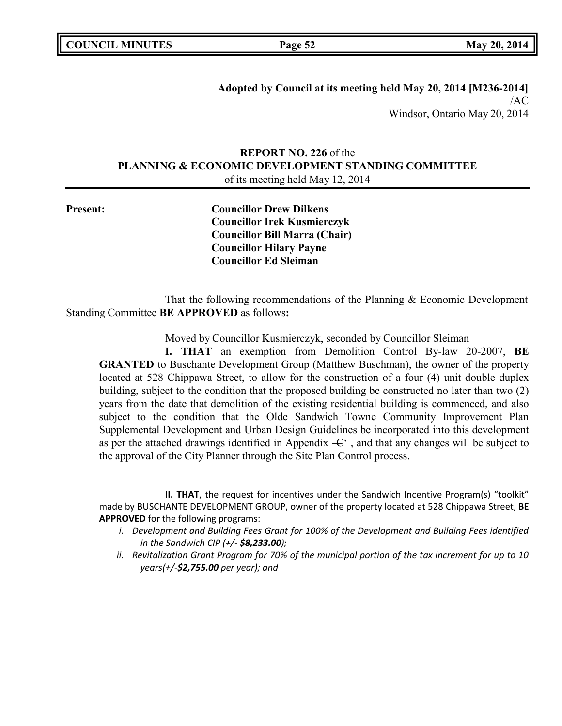| <b>COUNCIL MINUTES</b> |  |
|------------------------|--|
|------------------------|--|

**Adopted by Council at its meeting held May 20, 2014 [M236-2014]** /AC Windsor, Ontario May 20, 2014

# **REPORT NO. 226** of the **PLANNING & ECONOMIC DEVELOPMENT STANDING COMMITTEE** of its meeting held May 12, 2014

**Present: Councillor Drew Dilkens Councillor Irek Kusmierczyk Councillor Bill Marra (Chair) Councillor Hilary Payne Councillor Ed Sleiman**

That the following recommendations of the Planning & Economic Development Standing Committee **BE APPROVED** as follows**:**

Moved by Councillor Kusmierczyk, seconded by Councillor Sleiman

**I. THAT** an exemption from Demolition Control By-law 20-2007, **BE GRANTED** to Buschante Development Group (Matthew Buschman), the owner of the property located at 528 Chippawa Street, to allow for the construction of a four (4) unit double duplex building, subject to the condition that the proposed building be constructed no later than two (2) years from the date that demolition of the existing residential building is commenced, and also subject to the condition that the Olde Sandwich Towne Community Improvement Plan Supplemental Development and Urban Design Guidelines be incorporated into this development as per the attached drawings identified in Appendix  $-\epsilon$ , and that any changes will be subject to the approval of the City Planner through the Site Plan Control process.

**II. THAT**, the request for incentives under the Sandwich Incentive Program(s) "toolkit" made by BUSCHANTE DEVELOPMENT GROUP, owner of the property located at 528 Chippawa Street, **BE APPROVED** for the following programs:

- *i. Development and Building Fees Grant for 100% of the Development and Building Fees identified in the Sandwich CIP (+/- \$8,233.00);*
- *ii. Revitalization Grant Program for 70% of the municipal portion of the tax increment for up to 10 years(+/-\$2,755.00 per year); and*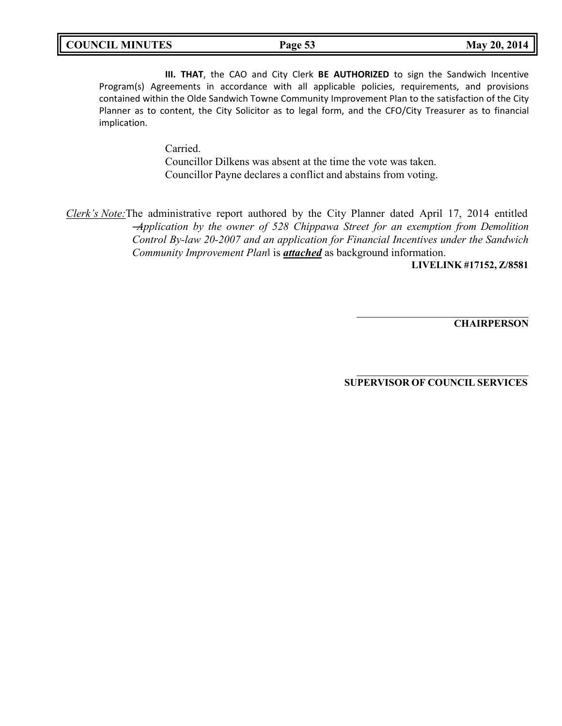**III. THAT**, the CAO and City Clerk **BE AUTHORIZED** to sign the Sandwich Incentive Program(s) Agreements in accordance with all applicable policies, requirements, and provisions contained within the Olde Sandwich Towne Community Improvement Plan to the satisfaction of the City Planner as to content, the City Solicitor as to legal form, and the CFO/City Treasurer as to financial implication.

> Carried. Councillor Dilkens was absent at the time the vote was taken. Councillor Payne declares a conflict and abstains from voting.

*Clerk's Note:*The administrative report authored by the City Planner dated April 17, 2014 entitled ―*Application by the owner of 528 Chippawa Street for an exemption from Demolition Control By-law 20-2007 and an application for Financial Incentives under the Sandwich Community Improvement Plan*‖ is *attached* as background information.

**LIVELINK #17152, Z/8581**

**CHAIRPERSON**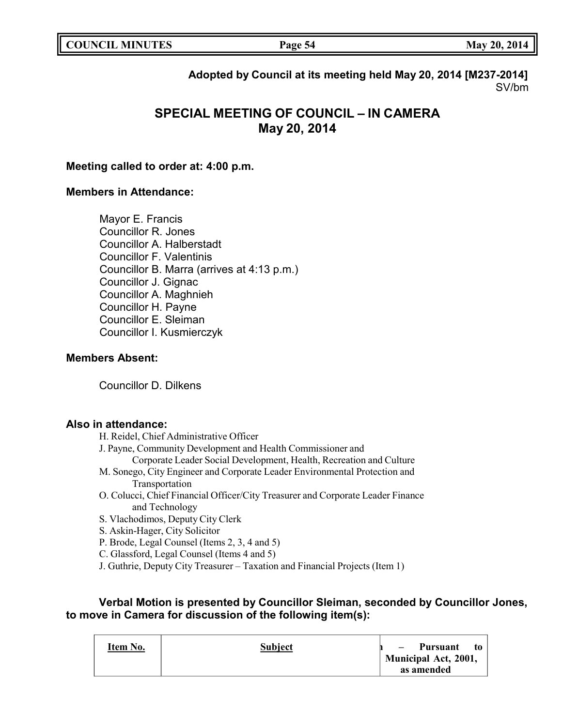# **Adopted by Council at its meeting held May 20, 2014 [M237-2014]** SV/bm

# **SPECIAL MEETING OF COUNCIL – IN CAMERA May 20, 2014**

## **Meeting called to order at: 4:00 p.m.**

# **Members in Attendance:**

Mayor E. Francis Councillor R. Jones Councillor A. Halberstadt Councillor F. Valentinis Councillor B. Marra (arrives at 4:13 p.m.) Councillor J. Gignac Councillor A. Maghnieh Councillor H. Payne Councillor E. Sleiman Councillor I. Kusmierczyk

## **Members Absent:**

Councillor D. Dilkens

## **Also in attendance:**

H. Reidel, Chief Administrative Officer

- J. Payne, Community Development and Health Commissioner and
	- Corporate Leader Social Development, Health, Recreation and Culture
- M. Sonego, City Engineer and Corporate Leader Environmental Protection and Transportation
- O. Colucci, Chief Financial Officer/City Treasurer and Corporate Leader Finance and Technology
- S. Vlachodimos, Deputy City Clerk
- S. Askin-Hager, City Solicitor
- P. Brode, Legal Counsel (Items 2, 3, 4 and 5)
- C. Glassford, Legal Counsel (Items 4 and 5)
- J. Guthrie, Deputy City Treasurer Taxation and Financial Projects (Item 1)

# **Verbal Motion is presented by Councillor Sleiman, seconded by Councillor Jones, to move in Camera for discussion of the following item(s):**

| Item No. | <b>Subject</b> | Pursuant<br>t0<br>$\overline{\phantom{a}}$<br><b>Municipal Act, 2001,</b> |
|----------|----------------|---------------------------------------------------------------------------|
|          |                | as amended                                                                |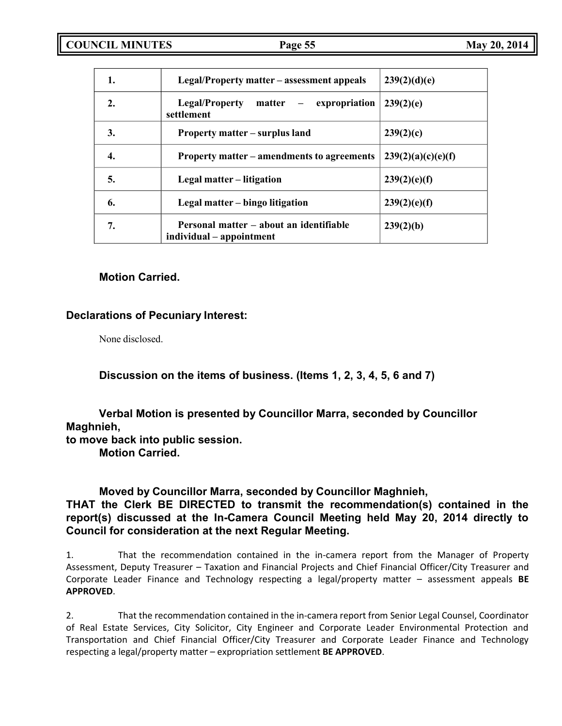| 1.               | Legal/Property matter – assessment appeals                          | 239(2)(d)(e)       |
|------------------|---------------------------------------------------------------------|--------------------|
| $\overline{2}$ . | <b>Legal/Property</b><br>- expropriation<br>matter<br>settlement    | 239(2)(e)          |
| 3.               | Property matter – surplus land                                      | 239(2)(c)          |
| 4.               | Property matter – amendments to agreements                          | 239(2)(a)(c)(e)(f) |
| 5.               | Legal matter – litigation                                           | 239(2)(e)(f)       |
| 6.               | Legal matter – bingo litigation                                     | 239(2)(e)(f)       |
| 7.               | Personal matter – about an identifiable<br>individual – appointment | 239(2)(b)          |

# **Motion Carried.**

# **Declarations of Pecuniary Interest:**

None disclosed.

**Discussion on the items of business. (Items 1, 2, 3, 4, 5, 6 and 7)**

**Verbal Motion is presented by Councillor Marra, seconded by Councillor Maghnieh,**

**to move back into public session.**

**Motion Carried.**

# **Moved by Councillor Marra, seconded by Councillor Maghnieh,**

# **THAT the Clerk BE DIRECTED to transmit the recommendation(s) contained in the report(s) discussed at the In-Camera Council Meeting held May 20, 2014 directly to Council for consideration at the next Regular Meeting.**

1. That the recommendation contained in the in-camera report from the Manager of Property Assessment, Deputy Treasurer – Taxation and Financial Projects and Chief Financial Officer/City Treasurer and Corporate Leader Finance and Technology respecting a legal/property matter – assessment appeals **BE APPROVED**.

2. That the recommendation contained in the in-camera report from Senior Legal Counsel, Coordinator of Real Estate Services, City Solicitor, City Engineer and Corporate Leader Environmental Protection and Transportation and Chief Financial Officer/City Treasurer and Corporate Leader Finance and Technology respecting a legal/property matter – expropriation settlement **BE APPROVED**.